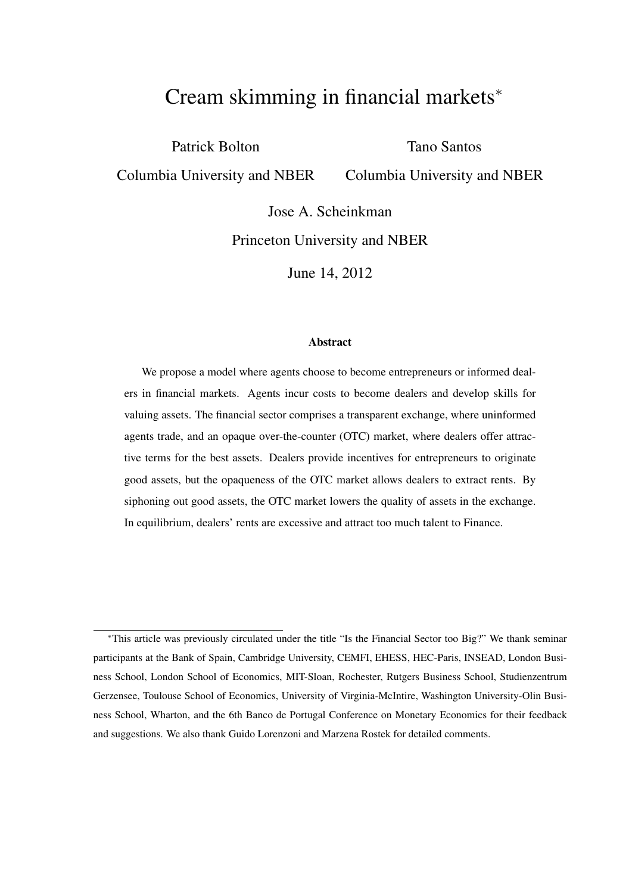# Cream skimming in financial markets*<sup>∗</sup>*

Patrick Bolton Columbia University and NBER Tano Santos

Columbia University and NBER

Jose A. Scheinkman

Princeton University and NBER

June 14, 2012

### Abstract

We propose a model where agents choose to become entrepreneurs or informed dealers in financial markets. Agents incur costs to become dealers and develop skills for valuing assets. The financial sector comprises a transparent exchange, where uninformed agents trade, and an opaque over-the-counter (OTC) market, where dealers offer attractive terms for the best assets. Dealers provide incentives for entrepreneurs to originate good assets, but the opaqueness of the OTC market allows dealers to extract rents. By siphoning out good assets, the OTC market lowers the quality of assets in the exchange. In equilibrium, dealers' rents are excessive and attract too much talent to Finance.

*<sup>∗</sup>*This article was previously circulated under the title "Is the Financial Sector too Big?" We thank seminar participants at the Bank of Spain, Cambridge University, CEMFI, EHESS, HEC-Paris, INSEAD, London Business School, London School of Economics, MIT-Sloan, Rochester, Rutgers Business School, Studienzentrum Gerzensee, Toulouse School of Economics, University of Virginia-McIntire, Washington University-Olin Business School, Wharton, and the 6th Banco de Portugal Conference on Monetary Economics for their feedback and suggestions. We also thank Guido Lorenzoni and Marzena Rostek for detailed comments.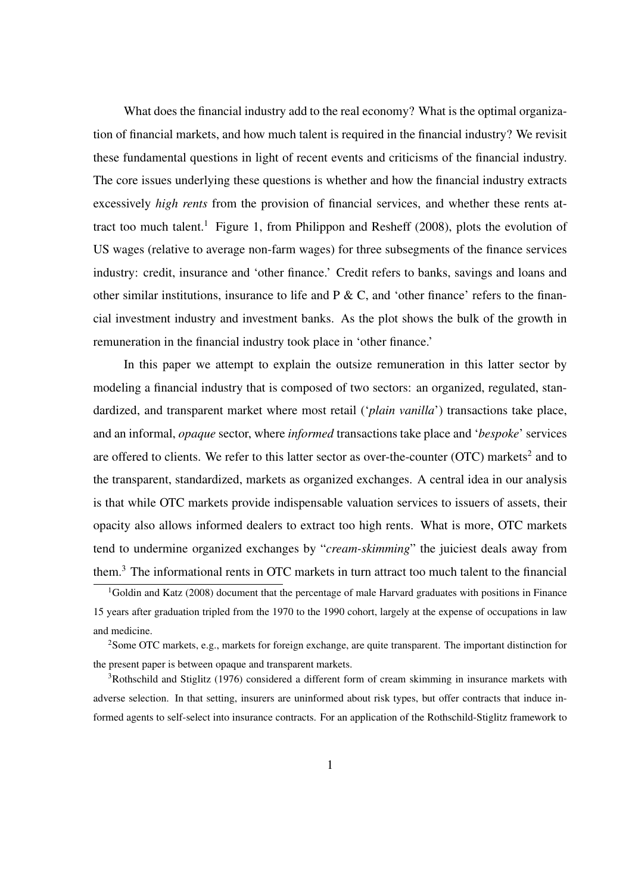What does the financial industry add to the real economy? What is the optimal organization of financial markets, and how much talent is required in the financial industry? We revisit these fundamental questions in light of recent events and criticisms of the financial industry. The core issues underlying these questions is whether and how the financial industry extracts excessively *high rents* from the provision of financial services, and whether these rents attract too much talent.<sup>1</sup> Figure 1, from Philippon and Resheff (2008), plots the evolution of US wages (relative to average non-farm wages) for three subsegments of the finance services industry: credit, insurance and 'other finance.' Credit refers to banks, savings and loans and other similar institutions, insurance to life and  $P \& C$ , and 'other finance' refers to the financial investment industry and investment banks. As the plot shows the bulk of the growth in remuneration in the financial industry took place in 'other finance.'

In this paper we attempt to explain the outsize remuneration in this latter sector by modeling a financial industry that is composed of two sectors: an organized, regulated, standardized, and transparent market where most retail ('*plain vanilla*') transactions take place, and an informal, *opaque* sector, where *informed* transactions take place and '*bespoke*' services are offered to clients. We refer to this latter sector as over-the-counter (OTC) markets<sup>2</sup> and to the transparent, standardized, markets as organized exchanges. A central idea in our analysis is that while OTC markets provide indispensable valuation services to issuers of assets, their opacity also allows informed dealers to extract too high rents. What is more, OTC markets tend to undermine organized exchanges by "*cream-skimming*" the juiciest deals away from them.<sup>3</sup> The informational rents in OTC markets in turn attract too much talent to the financial

<sup>&</sup>lt;sup>1</sup>Goldin and Katz (2008) document that the percentage of male Harvard graduates with positions in Finance 15 years after graduation tripled from the 1970 to the 1990 cohort, largely at the expense of occupations in law and medicine.

<sup>2</sup>Some OTC markets, e.g., markets for foreign exchange, are quite transparent. The important distinction for the present paper is between opaque and transparent markets.

<sup>3</sup>Rothschild and Stiglitz (1976) considered a different form of cream skimming in insurance markets with adverse selection. In that setting, insurers are uninformed about risk types, but offer contracts that induce informed agents to self-select into insurance contracts. For an application of the Rothschild-Stiglitz framework to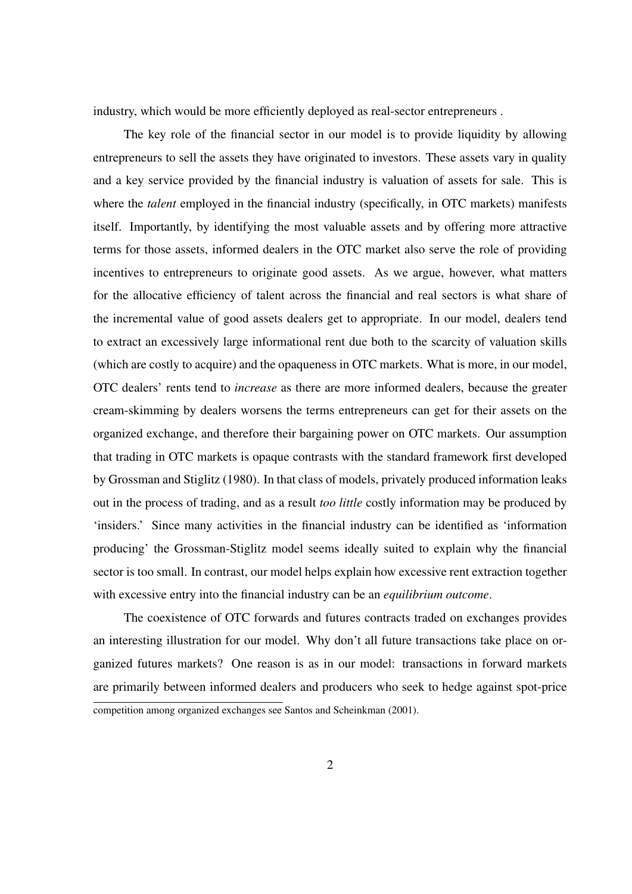industry, which would be more efficiently deployed as real-sector entrepreneurs .

The key role of the financial sector in our model is to provide liquidity by allowing entrepreneurs to sell the assets they have originated to investors. These assets vary in quality and a key service provided by the financial industry is valuation of assets for sale. This is where the *talent* employed in the financial industry (specifically, in OTC markets) manifests itself. Importantly, by identifying the most valuable assets and by offering more attractive terms for those assets, informed dealers in the OTC market also serve the role of providing incentives to entrepreneurs to originate good assets. As we argue, however, what matters for the allocative efficiency of talent across the financial and real sectors is what share of the incremental value of good assets dealers get to appropriate. In our model, dealers tend to extract an excessively large informational rent due both to the scarcity of valuation skills (which are costly to acquire) and the opaqueness in OTC markets. What is more, in our model, OTC dealers' rents tend to *increase* as there are more informed dealers, because the greater cream-skimming by dealers worsens the terms entrepreneurs can get for their assets on the organized exchange, and therefore their bargaining power on OTC markets. Our assumption that trading in OTC markets is opaque contrasts with the standard framework first developed by Grossman and Stiglitz (1980). In that class of models, privately produced information leaks out in the process of trading, and as a result *too little* costly information may be produced by 'insiders.' Since many activities in the financial industry can be identified as 'information producing' the Grossman-Stiglitz model seems ideally suited to explain why the financial sector is too small. In contrast, our model helps explain how excessive rent extraction together with excessive entry into the financial industry can be an *equilibrium outcome*.

The coexistence of OTC forwards and futures contracts traded on exchanges provides an interesting illustration for our model. Why don't all future transactions take place on organized futures markets? One reason is as in our model: transactions in forward markets are primarily between informed dealers and producers who seek to hedge against spot-price competition among organized exchanges see Santos and Scheinkman (2001).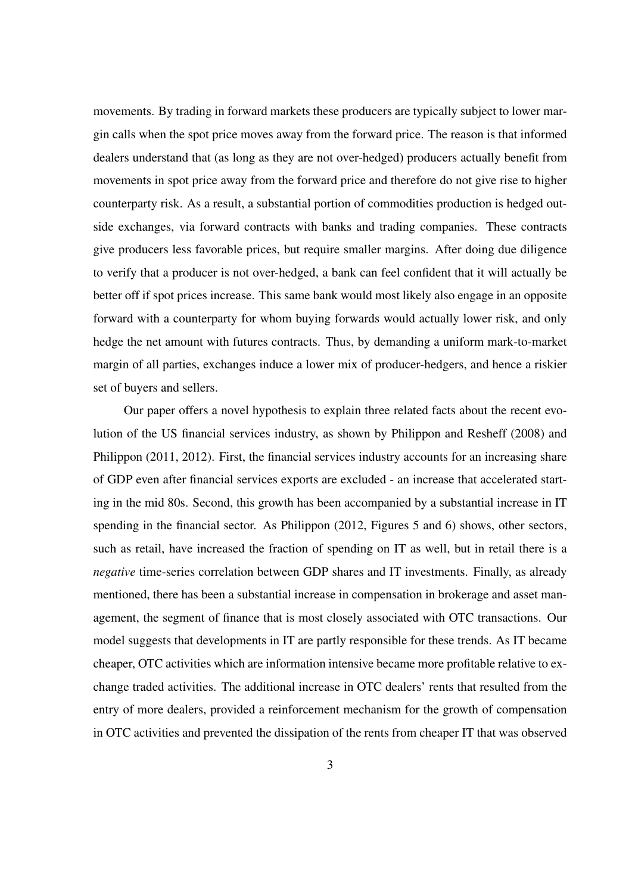movements. By trading in forward markets these producers are typically subject to lower margin calls when the spot price moves away from the forward price. The reason is that informed dealers understand that (as long as they are not over-hedged) producers actually benefit from movements in spot price away from the forward price and therefore do not give rise to higher counterparty risk. As a result, a substantial portion of commodities production is hedged outside exchanges, via forward contracts with banks and trading companies. These contracts give producers less favorable prices, but require smaller margins. After doing due diligence to verify that a producer is not over-hedged, a bank can feel confident that it will actually be better off if spot prices increase. This same bank would most likely also engage in an opposite forward with a counterparty for whom buying forwards would actually lower risk, and only hedge the net amount with futures contracts. Thus, by demanding a uniform mark-to-market margin of all parties, exchanges induce a lower mix of producer-hedgers, and hence a riskier set of buyers and sellers.

Our paper offers a novel hypothesis to explain three related facts about the recent evolution of the US financial services industry, as shown by Philippon and Resheff (2008) and Philippon (2011, 2012). First, the financial services industry accounts for an increasing share of GDP even after financial services exports are excluded - an increase that accelerated starting in the mid 80s. Second, this growth has been accompanied by a substantial increase in IT spending in the financial sector. As Philippon (2012, Figures 5 and 6) shows, other sectors, such as retail, have increased the fraction of spending on IT as well, but in retail there is a *negative* time-series correlation between GDP shares and IT investments. Finally, as already mentioned, there has been a substantial increase in compensation in brokerage and asset management, the segment of finance that is most closely associated with OTC transactions. Our model suggests that developments in IT are partly responsible for these trends. As IT became cheaper, OTC activities which are information intensive became more profitable relative to exchange traded activities. The additional increase in OTC dealers' rents that resulted from the entry of more dealers, provided a reinforcement mechanism for the growth of compensation in OTC activities and prevented the dissipation of the rents from cheaper IT that was observed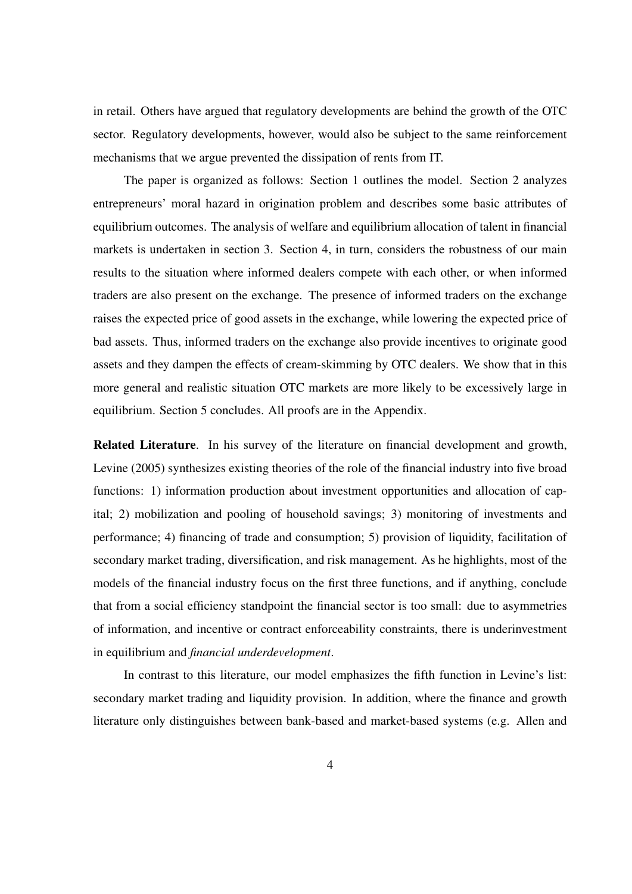in retail. Others have argued that regulatory developments are behind the growth of the OTC sector. Regulatory developments, however, would also be subject to the same reinforcement mechanisms that we argue prevented the dissipation of rents from IT.

The paper is organized as follows: Section 1 outlines the model. Section 2 analyzes entrepreneurs' moral hazard in origination problem and describes some basic attributes of equilibrium outcomes. The analysis of welfare and equilibrium allocation of talent in financial markets is undertaken in section 3. Section 4, in turn, considers the robustness of our main results to the situation where informed dealers compete with each other, or when informed traders are also present on the exchange. The presence of informed traders on the exchange raises the expected price of good assets in the exchange, while lowering the expected price of bad assets. Thus, informed traders on the exchange also provide incentives to originate good assets and they dampen the effects of cream-skimming by OTC dealers. We show that in this more general and realistic situation OTC markets are more likely to be excessively large in equilibrium. Section 5 concludes. All proofs are in the Appendix.

Related Literature. In his survey of the literature on financial development and growth, Levine (2005) synthesizes existing theories of the role of the financial industry into five broad functions: 1) information production about investment opportunities and allocation of capital; 2) mobilization and pooling of household savings; 3) monitoring of investments and performance; 4) financing of trade and consumption; 5) provision of liquidity, facilitation of secondary market trading, diversification, and risk management. As he highlights, most of the models of the financial industry focus on the first three functions, and if anything, conclude that from a social efficiency standpoint the financial sector is too small: due to asymmetries of information, and incentive or contract enforceability constraints, there is underinvestment in equilibrium and *financial underdevelopment*.

In contrast to this literature, our model emphasizes the fifth function in Levine's list: secondary market trading and liquidity provision. In addition, where the finance and growth literature only distinguishes between bank-based and market-based systems (e.g. Allen and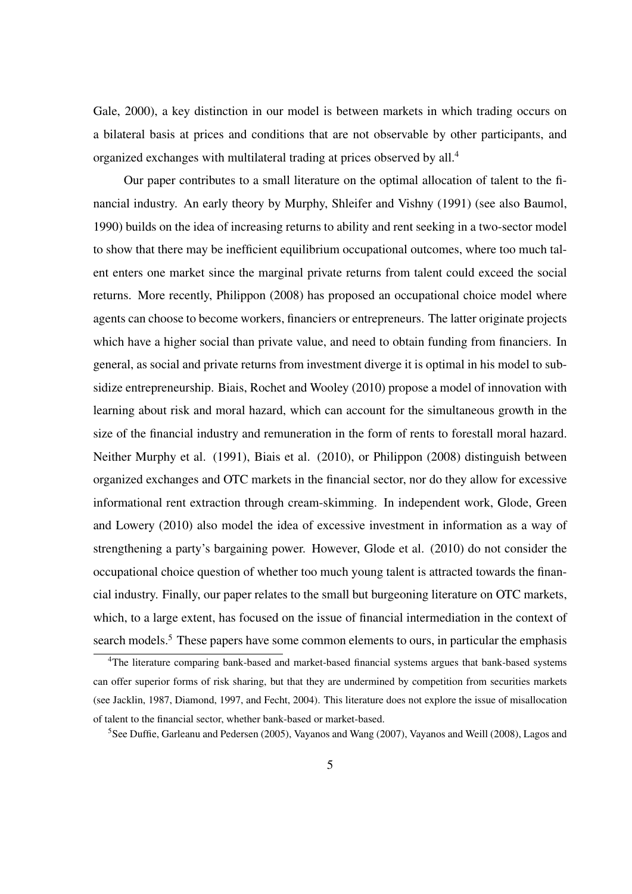Gale, 2000), a key distinction in our model is between markets in which trading occurs on a bilateral basis at prices and conditions that are not observable by other participants, and organized exchanges with multilateral trading at prices observed by all.<sup>4</sup>

Our paper contributes to a small literature on the optimal allocation of talent to the financial industry. An early theory by Murphy, Shleifer and Vishny (1991) (see also Baumol, 1990) builds on the idea of increasing returns to ability and rent seeking in a two-sector model to show that there may be inefficient equilibrium occupational outcomes, where too much talent enters one market since the marginal private returns from talent could exceed the social returns. More recently, Philippon (2008) has proposed an occupational choice model where agents can choose to become workers, financiers or entrepreneurs. The latter originate projects which have a higher social than private value, and need to obtain funding from financiers. In general, as social and private returns from investment diverge it is optimal in his model to subsidize entrepreneurship. Biais, Rochet and Wooley (2010) propose a model of innovation with learning about risk and moral hazard, which can account for the simultaneous growth in the size of the financial industry and remuneration in the form of rents to forestall moral hazard. Neither Murphy et al. (1991), Biais et al. (2010), or Philippon (2008) distinguish between organized exchanges and OTC markets in the financial sector, nor do they allow for excessive informational rent extraction through cream-skimming. In independent work, Glode, Green and Lowery (2010) also model the idea of excessive investment in information as a way of strengthening a party's bargaining power. However, Glode et al. (2010) do not consider the occupational choice question of whether too much young talent is attracted towards the financial industry. Finally, our paper relates to the small but burgeoning literature on OTC markets, which, to a large extent, has focused on the issue of financial intermediation in the context of search models.<sup>5</sup> These papers have some common elements to ours, in particular the emphasis

<sup>4</sup>The literature comparing bank-based and market-based financial systems argues that bank-based systems can offer superior forms of risk sharing, but that they are undermined by competition from securities markets (see Jacklin, 1987, Diamond, 1997, and Fecht, 2004). This literature does not explore the issue of misallocation of talent to the financial sector, whether bank-based or market-based.

<sup>5</sup>See Duffie, Garleanu and Pedersen (2005), Vayanos and Wang (2007), Vayanos and Weill (2008), Lagos and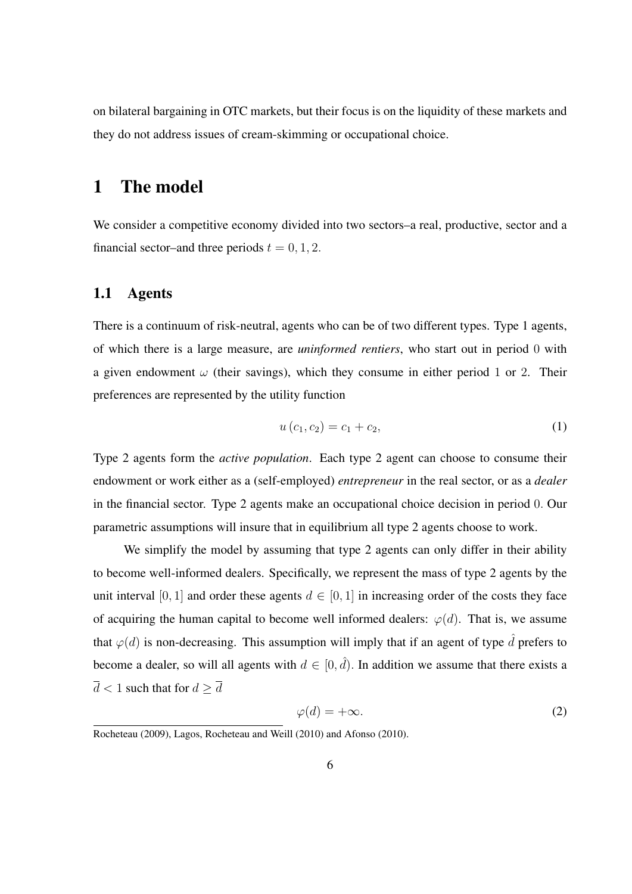on bilateral bargaining in OTC markets, but their focus is on the liquidity of these markets and they do not address issues of cream-skimming or occupational choice.

## 1 The model

We consider a competitive economy divided into two sectors–a real, productive, sector and a financial sector–and three periods  $t = 0, 1, 2$ .

## 1.1 Agents

There is a continuum of risk-neutral, agents who can be of two different types. Type 1 agents, of which there is a large measure, are *uninformed rentiers*, who start out in period 0 with a given endowment  $\omega$  (their savings), which they consume in either period 1 or 2. Their preferences are represented by the utility function

$$
u(c_1, c_2) = c_1 + c_2,\tag{1}
$$

Type 2 agents form the *active population*. Each type 2 agent can choose to consume their endowment or work either as a (self-employed) *entrepreneur* in the real sector, or as a *dealer* in the financial sector. Type 2 agents make an occupational choice decision in period 0*.* Our parametric assumptions will insure that in equilibrium all type 2 agents choose to work.

We simplify the model by assuming that type 2 agents can only differ in their ability to become well-informed dealers. Specifically, we represent the mass of type 2 agents by the unit interval [0, 1] and order these agents  $d \in [0, 1]$  in increasing order of the costs they face of acquiring the human capital to become well informed dealers:  $\varphi(d)$ . That is, we assume that  $\varphi(d)$  is non-decreasing. This assumption will imply that if an agent of type  $\hat{d}$  prefers to become a dealer, so will all agents with  $d \in [0, \hat{d})$ . In addition we assume that there exists a  $\overline{d}$  < 1 such that for  $d > \overline{d}$ 

$$
\varphi(d) = +\infty. \tag{2}
$$

Rocheteau (2009), Lagos, Rocheteau and Weill (2010) and Afonso (2010).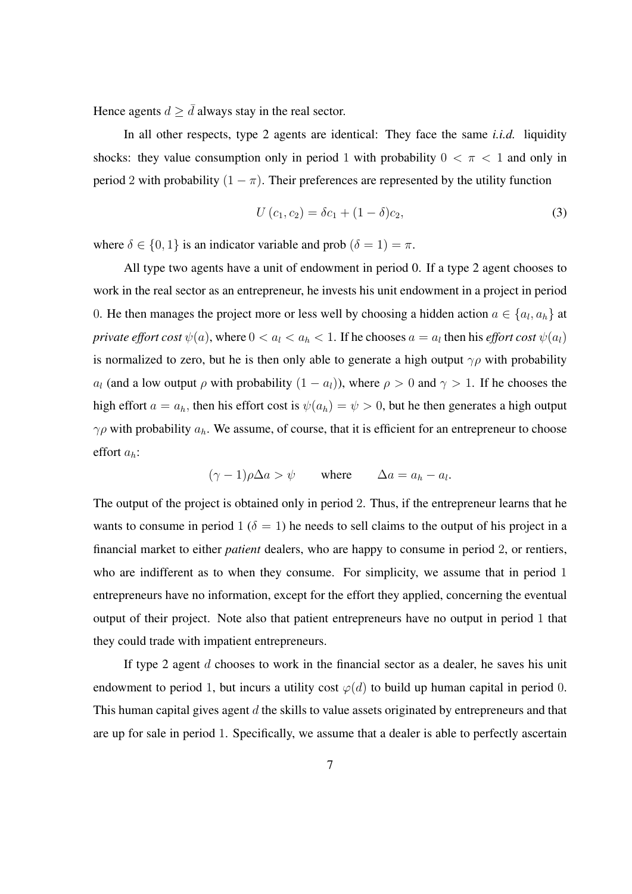Hence agents  $d > \bar{d}$  always stay in the real sector.

In all other respects, type 2 agents are identical: They face the same *i.i.d.* liquidity shocks: they value consumption only in period 1 with probability  $0 < \pi < 1$  and only in period 2 with probability  $(1 - \pi)$ . Their preferences are represented by the utility function

$$
U(c_1, c_2) = \delta c_1 + (1 - \delta)c_2,
$$
\n(3)

where  $\delta \in \{0, 1\}$  is an indicator variable and prob  $(\delta = 1) = \pi$ .

All type two agents have a unit of endowment in period 0. If a type 2 agent chooses to work in the real sector as an entrepreneur, he invests his unit endowment in a project in period 0. He then manages the project more or less well by choosing a hidden action  $a \in \{a_l, a_h\}$  at *private effort cost*  $\psi(a)$ *, where*  $0 < a_l < a_h < 1.$  *If he chooses*  $a = a_l$  *then his <i>effort cost*  $\psi(a_l)$ is normalized to zero, but he is then only able to generate a high output  $\gamma \rho$  with probability *a*<sub>*l*</sub> (and a low output *ρ* with probability  $(1 - a_l)$ ), where  $\rho > 0$  and  $\gamma > 1$ . If he chooses the high effort  $a = a_h$ , then his effort cost is  $\psi(a_h) = \psi > 0$ , but he then generates a high output *γρ* with probability *ah*. We assume, of course, that it is efficient for an entrepreneur to choose effort *ah*:

$$
(\gamma - 1)\rho\Delta a > \psi
$$
 where  $\Delta a = a_h - a_l$ .

The output of the project is obtained only in period 2. Thus, if the entrepreneur learns that he wants to consume in period 1 ( $\delta = 1$ ) he needs to sell claims to the output of his project in a financial market to either *patient* dealers, who are happy to consume in period 2, or rentiers, who are indifferent as to when they consume. For simplicity, we assume that in period 1 entrepreneurs have no information, except for the effort they applied, concerning the eventual output of their project. Note also that patient entrepreneurs have no output in period 1 that they could trade with impatient entrepreneurs.

If type 2 agent *d* chooses to work in the financial sector as a dealer, he saves his unit endowment to period 1, but incurs a utility cost  $\varphi(d)$  to build up human capital in period 0. This human capital gives agent *d* the skills to value assets originated by entrepreneurs and that are up for sale in period 1. Specifically, we assume that a dealer is able to perfectly ascertain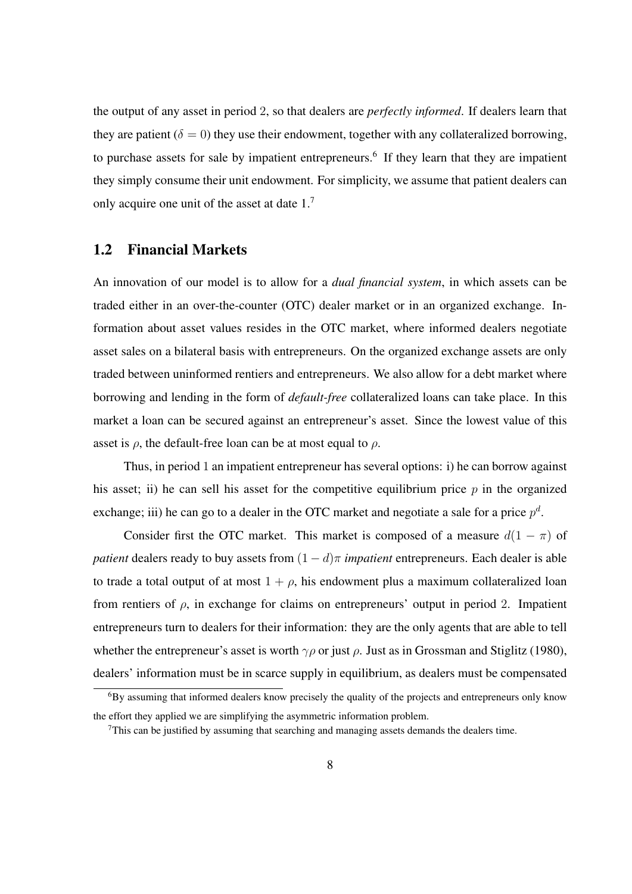the output of any asset in period 2, so that dealers are *perfectly informed*. If dealers learn that they are patient ( $\delta = 0$ ) they use their endowment, together with any collateralized borrowing, to purchase assets for sale by impatient entrepreneurs.<sup>6</sup> If they learn that they are impatient they simply consume their unit endowment. For simplicity, we assume that patient dealers can only acquire one unit of the asset at date 1.<sup>7</sup>

## 1.2 Financial Markets

An innovation of our model is to allow for a *dual financial system*, in which assets can be traded either in an over-the-counter (OTC) dealer market or in an organized exchange. Information about asset values resides in the OTC market, where informed dealers negotiate asset sales on a bilateral basis with entrepreneurs. On the organized exchange assets are only traded between uninformed rentiers and entrepreneurs. We also allow for a debt market where borrowing and lending in the form of *default-free* collateralized loans can take place. In this market a loan can be secured against an entrepreneur's asset. Since the lowest value of this asset is  $\rho$ , the default-free loan can be at most equal to  $\rho$ .

Thus, in period 1 an impatient entrepreneur has several options: i) he can borrow against his asset; ii) he can sell his asset for the competitive equilibrium price *p* in the organized exchange; iii) he can go to a dealer in the OTC market and negotiate a sale for a price  $p^d$ .

Consider first the OTC market. This market is composed of a measure  $d(1 - \pi)$  of *patient* dealers ready to buy assets from  $(1 - d)\pi$  *impatient* entrepreneurs. Each dealer is able to trade a total output of at most  $1 + \rho$ , his endowment plus a maximum collateralized loan from rentiers of  $\rho$ , in exchange for claims on entrepreneurs' output in period 2. Impatient entrepreneurs turn to dealers for their information: they are the only agents that are able to tell whether the entrepreneur's asset is worth *γρ* or just *ρ*. Just as in Grossman and Stiglitz (1980), dealers' information must be in scarce supply in equilibrium, as dealers must be compensated

<sup>&</sup>lt;sup>6</sup>By assuming that informed dealers know precisely the quality of the projects and entrepreneurs only know the effort they applied we are simplifying the asymmetric information problem.

 $<sup>7</sup>$ This can be justified by assuming that searching and managing assets demands the dealers time.</sup>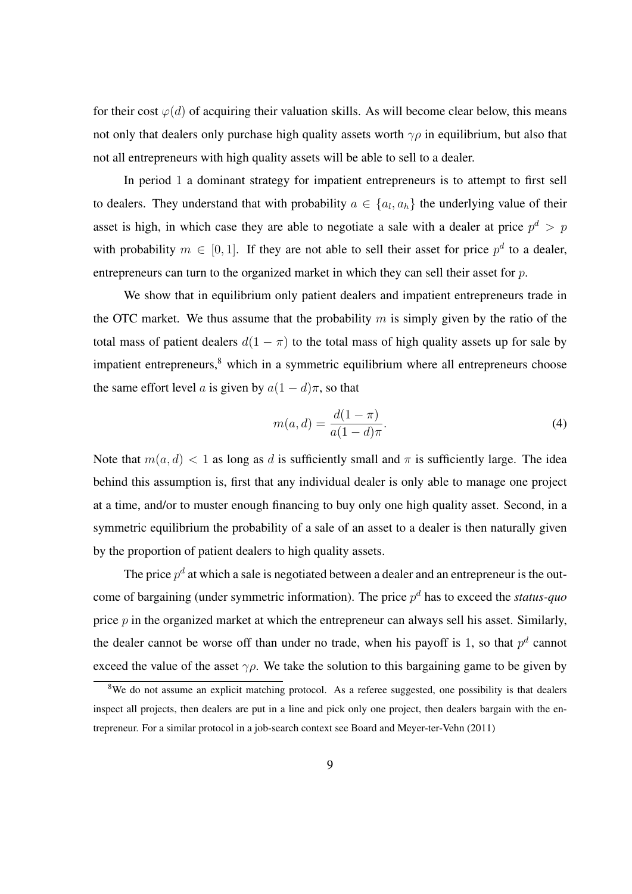for their cost  $\varphi(d)$  of acquiring their valuation skills. As will become clear below, this means not only that dealers only purchase high quality assets worth  $\gamma \rho$  in equilibrium, but also that not all entrepreneurs with high quality assets will be able to sell to a dealer.

In period 1 a dominant strategy for impatient entrepreneurs is to attempt to first sell to dealers. They understand that with probability  $a \in \{a_l, a_h\}$  the underlying value of their asset is high, in which case they are able to negotiate a sale with a dealer at price  $p^d > p$ with probability  $m \in [0, 1]$ . If they are not able to sell their asset for price  $p^d$  to a dealer, entrepreneurs can turn to the organized market in which they can sell their asset for *p*.

We show that in equilibrium only patient dealers and impatient entrepreneurs trade in the OTC market. We thus assume that the probability *m* is simply given by the ratio of the total mass of patient dealers  $d(1 - \pi)$  to the total mass of high quality assets up for sale by impatient entrepreneurs,<sup>8</sup> which in a symmetric equilibrium where all entrepreneurs choose the same effort level *a* is given by  $a(1 - d)\pi$ , so that

$$
m(a,d) = \frac{d(1-\pi)}{a(1-d)\pi}.
$$
 (4)

Note that  $m(a, d) < 1$  as long as *d* is sufficiently small and  $\pi$  is sufficiently large. The idea behind this assumption is, first that any individual dealer is only able to manage one project at a time, and/or to muster enough financing to buy only one high quality asset. Second, in a symmetric equilibrium the probability of a sale of an asset to a dealer is then naturally given by the proportion of patient dealers to high quality assets.

The price  $p^d$  at which a sale is negotiated between a dealer and an entrepreneur is the outcome of bargaining (under symmetric information). The price *p <sup>d</sup>* has to exceed the *status-quo* price *p* in the organized market at which the entrepreneur can always sell his asset. Similarly, the dealer cannot be worse off than under no trade, when his payoff is 1, so that  $p<sup>d</sup>$  cannot exceed the value of the asset  $\gamma \rho$ . We take the solution to this bargaining game to be given by

<sup>&</sup>lt;sup>8</sup>We do not assume an explicit matching protocol. As a referee suggested, one possibility is that dealers inspect all projects, then dealers are put in a line and pick only one project, then dealers bargain with the entrepreneur. For a similar protocol in a job-search context see Board and Meyer-ter-Vehn (2011)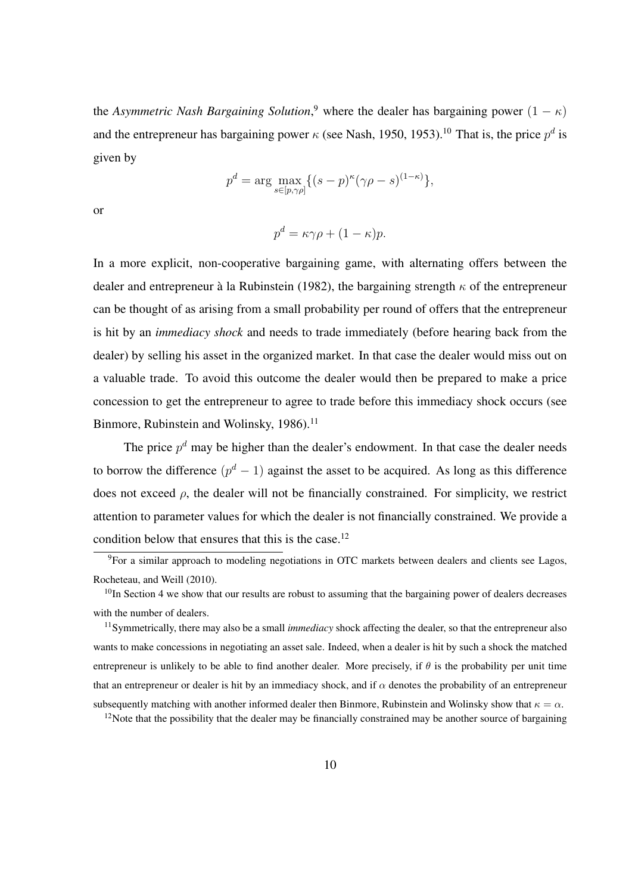the *Asymmetric Nash Bargaining Solution*, <sup>9</sup> where the dealer has bargaining power (1 *− κ*) and the entrepreneur has bargaining power  $\kappa$  (see Nash, 1950, 1953).<sup>10</sup> That is, the price  $p^d$  is given by

$$
p^{d} = \arg\max_{s \in [p,\gamma\rho]} \{(s-p)^{\kappa}(\gamma\rho - s)^{(1-\kappa)}\},\
$$

or

$$
p^d = \kappa \gamma \rho + (1 - \kappa)p.
$$

In a more explicit, non-cooperative bargaining game, with alternating offers between the dealer and entrepreneur à la Rubinstein (1982), the bargaining strength  $\kappa$  of the entrepreneur can be thought of as arising from a small probability per round of offers that the entrepreneur is hit by an *immediacy shock* and needs to trade immediately (before hearing back from the dealer) by selling his asset in the organized market. In that case the dealer would miss out on a valuable trade. To avoid this outcome the dealer would then be prepared to make a price concession to get the entrepreneur to agree to trade before this immediacy shock occurs (see Binmore, Rubinstein and Wolinsky, 1986).<sup>11</sup>

The price  $p^d$  may be higher than the dealer's endowment. In that case the dealer needs to borrow the difference  $(p^d - 1)$  against the asset to be acquired. As long as this difference does not exceed  $\rho$ , the dealer will not be financially constrained. For simplicity, we restrict attention to parameter values for which the dealer is not financially constrained. We provide a condition below that ensures that this is the case.<sup>12</sup>

<sup>&</sup>lt;sup>9</sup>For a similar approach to modeling negotiations in OTC markets between dealers and clients see Lagos, Rocheteau, and Weill (2010).

<sup>&</sup>lt;sup>10</sup>In Section 4 we show that our results are robust to assuming that the bargaining power of dealers decreases with the number of dealers.

<sup>11</sup>Symmetrically, there may also be a small *immediacy* shock affecting the dealer, so that the entrepreneur also wants to make concessions in negotiating an asset sale. Indeed, when a dealer is hit by such a shock the matched entrepreneur is unlikely to be able to find another dealer. More precisely, if  $\theta$  is the probability per unit time that an entrepreneur or dealer is hit by an immediacy shock, and if  $\alpha$  denotes the probability of an entrepreneur subsequently matching with another informed dealer then Binmore, Rubinstein and Wolinsky show that  $\kappa = \alpha$ .  $12$ Note that the possibility that the dealer may be financially constrained may be another source of bargaining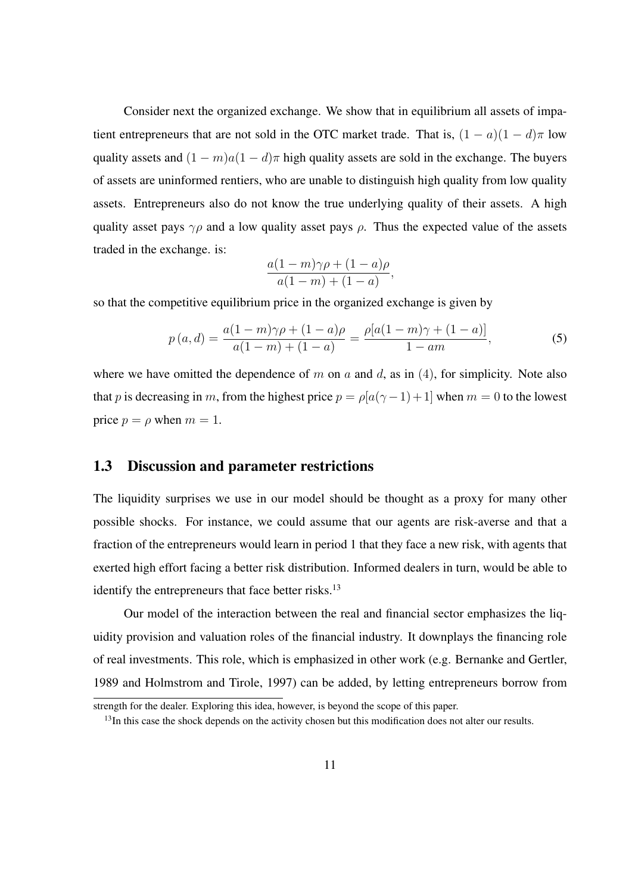Consider next the organized exchange. We show that in equilibrium all assets of impatient entrepreneurs that are not sold in the OTC market trade. That is,  $(1 - a)(1 - d)\pi$  low quality assets and  $(1 - m)a(1 - d)\pi$  high quality assets are sold in the exchange. The buyers of assets are uninformed rentiers, who are unable to distinguish high quality from low quality assets. Entrepreneurs also do not know the true underlying quality of their assets. A high quality asset pays  $\gamma \rho$  and a low quality asset pays  $\rho$ . Thus the expected value of the assets traded in the exchange. is:

$$
\frac{a(1-m)\gamma\rho + (1-a)\rho}{a(1-m) + (1-a)},
$$

so that the competitive equilibrium price in the organized exchange is given by

$$
p(a,d) = \frac{a(1-m)\gamma\rho + (1-a)\rho}{a(1-m) + (1-a)} = \frac{\rho[a(1-m)\gamma + (1-a)]}{1-am},
$$
\n(5)

where we have omitted the dependence of *m* on *a* and *d*, as in (4), for simplicity. Note also that *p* is decreasing in *m*, from the highest price  $p = \rho[a(\gamma - 1) + 1]$  when  $m = 0$  to the lowest price  $p = \rho$  when  $m = 1$ .

## 1.3 Discussion and parameter restrictions

The liquidity surprises we use in our model should be thought as a proxy for many other possible shocks. For instance, we could assume that our agents are risk-averse and that a fraction of the entrepreneurs would learn in period 1 that they face a new risk, with agents that exerted high effort facing a better risk distribution. Informed dealers in turn, would be able to identify the entrepreneurs that face better risks.<sup>13</sup>

Our model of the interaction between the real and financial sector emphasizes the liquidity provision and valuation roles of the financial industry. It downplays the financing role of real investments. This role, which is emphasized in other work (e.g. Bernanke and Gertler, 1989 and Holmstrom and Tirole, 1997) can be added, by letting entrepreneurs borrow from

strength for the dealer. Exploring this idea, however, is beyond the scope of this paper.

 $<sup>13</sup>$ In this case the shock depends on the activity chosen but this modification does not alter our results.</sup>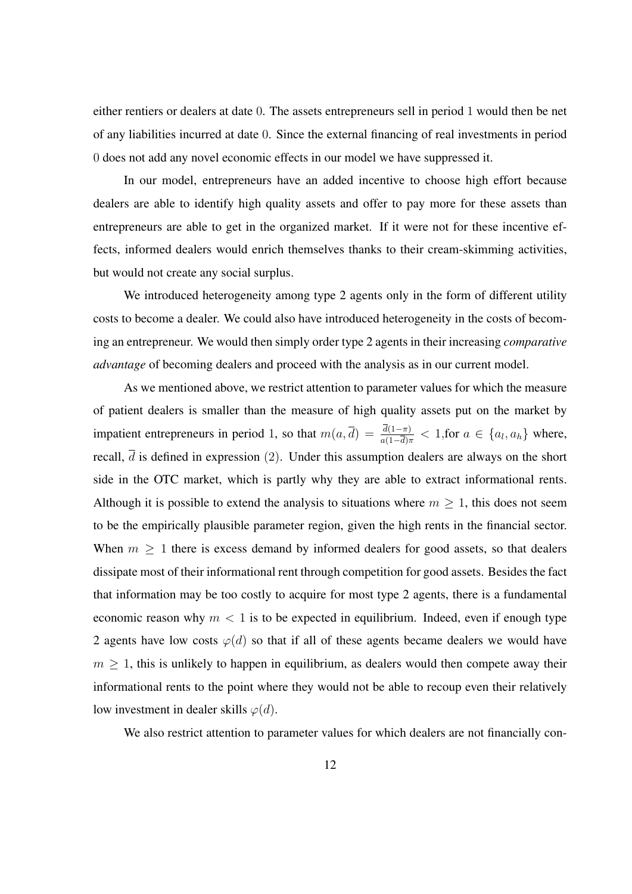either rentiers or dealers at date 0. The assets entrepreneurs sell in period 1 would then be net of any liabilities incurred at date 0. Since the external financing of real investments in period 0 does not add any novel economic effects in our model we have suppressed it.

In our model, entrepreneurs have an added incentive to choose high effort because dealers are able to identify high quality assets and offer to pay more for these assets than entrepreneurs are able to get in the organized market. If it were not for these incentive effects, informed dealers would enrich themselves thanks to their cream-skimming activities, but would not create any social surplus.

We introduced heterogeneity among type 2 agents only in the form of different utility costs to become a dealer. We could also have introduced heterogeneity in the costs of becoming an entrepreneur. We would then simply order type 2 agents in their increasing *comparative advantage* of becoming dealers and proceed with the analysis as in our current model.

As we mentioned above, we restrict attention to parameter values for which the measure of patient dealers is smaller than the measure of high quality assets put on the market by impatient entrepreneurs in period 1, so that  $m(a,\overline{d}) = \frac{d(1-\pi)}{a(1-\overline{d})\pi} < 1$ , for  $a \in \{a_l, a_h\}$  where, recall,  $\overline{d}$  is defined in expression (2). Under this assumption dealers are always on the short side in the OTC market, which is partly why they are able to extract informational rents. Although it is possible to extend the analysis to situations where  $m \geq 1$ , this does not seem to be the empirically plausible parameter region, given the high rents in the financial sector. When  $m \geq 1$  there is excess demand by informed dealers for good assets, so that dealers dissipate most of their informational rent through competition for good assets. Besides the fact that information may be too costly to acquire for most type 2 agents, there is a fundamental economic reason why  $m < 1$  is to be expected in equilibrium. Indeed, even if enough type 2 agents have low costs  $\varphi(d)$  so that if all of these agents became dealers we would have  $m \geq 1$ , this is unlikely to happen in equilibrium, as dealers would then compete away their informational rents to the point where they would not be able to recoup even their relatively low investment in dealer skills  $\varphi(d)$ .

We also restrict attention to parameter values for which dealers are not financially con-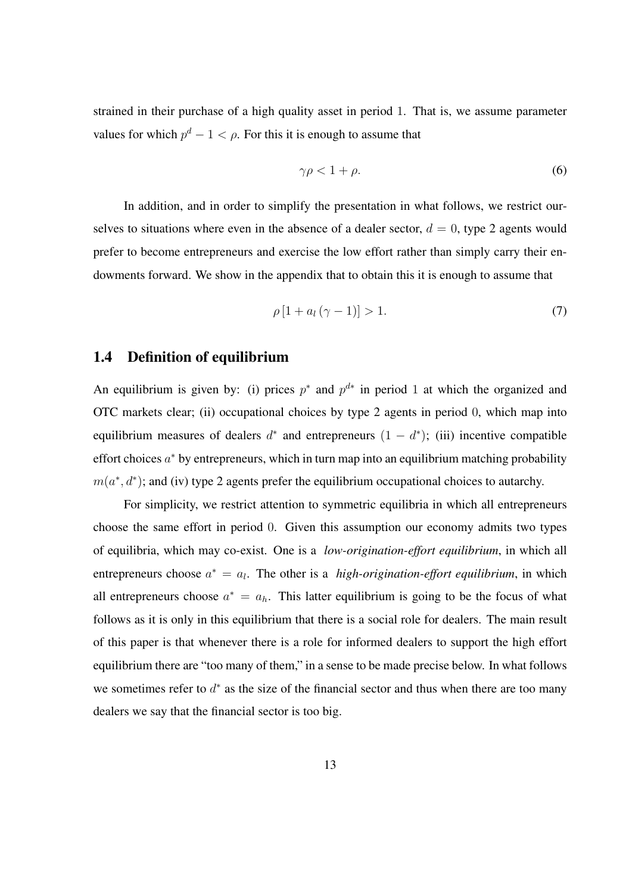strained in their purchase of a high quality asset in period 1. That is, we assume parameter values for which  $p^d - 1 < \rho$ . For this it is enough to assume that

$$
\gamma \rho < 1 + \rho. \tag{6}
$$

In addition, and in order to simplify the presentation in what follows, we restrict ourselves to situations where even in the absence of a dealer sector,  $d = 0$ , type 2 agents would prefer to become entrepreneurs and exercise the low effort rather than simply carry their endowments forward. We show in the appendix that to obtain this it is enough to assume that

$$
\rho\left[1 + a_l\left(\gamma - 1\right)\right] > 1. \tag{7}
$$

## 1.4 Definition of equilibrium

An equilibrium is given by: (i) prices  $p^*$  and  $p^{d*}$  in period 1 at which the organized and OTC markets clear; (ii) occupational choices by type 2 agents in period 0, which map into equilibrium measures of dealers *d ∗* and entrepreneurs (1 *− d ∗* ); (iii) incentive compatible effort choices *a <sup>∗</sup>* by entrepreneurs, which in turn map into an equilibrium matching probability  $m(a^*, d^*)$ ; and (iv) type 2 agents prefer the equilibrium occupational choices to autarchy.

For simplicity, we restrict attention to symmetric equilibria in which all entrepreneurs choose the same effort in period 0. Given this assumption our economy admits two types of equilibria, which may co-exist. One is a *low-origination-effort equilibrium*, in which all entrepreneurs choose  $a^* = a_l$ . The other is a *high-origination-effort equilibrium*, in which all entrepreneurs choose  $a^* = a_h$ . This latter equilibrium is going to be the focus of what follows as it is only in this equilibrium that there is a social role for dealers. The main result of this paper is that whenever there is a role for informed dealers to support the high effort equilibrium there are "too many of them," in a sense to be made precise below. In what follows we sometimes refer to  $d^*$  as the size of the financial sector and thus when there are too many dealers we say that the financial sector is too big.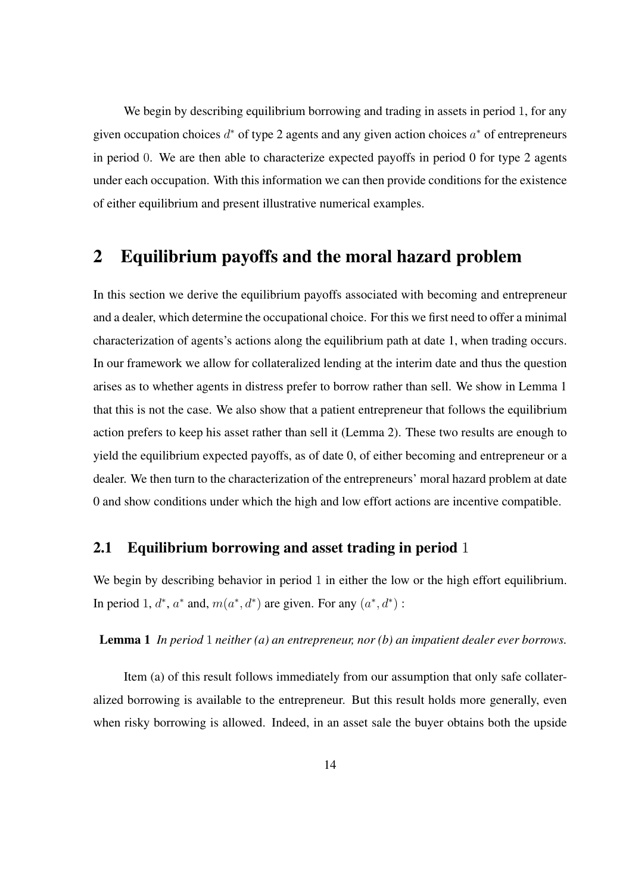We begin by describing equilibrium borrowing and trading in assets in period 1, for any given occupation choices *d <sup>∗</sup>* of type 2 agents and any given action choices *a <sup>∗</sup>* of entrepreneurs in period 0. We are then able to characterize expected payoffs in period 0 for type 2 agents under each occupation. With this information we can then provide conditions for the existence of either equilibrium and present illustrative numerical examples.

## 2 Equilibrium payoffs and the moral hazard problem

In this section we derive the equilibrium payoffs associated with becoming and entrepreneur and a dealer, which determine the occupational choice. For this we first need to offer a minimal characterization of agents's actions along the equilibrium path at date 1, when trading occurs. In our framework we allow for collateralized lending at the interim date and thus the question arises as to whether agents in distress prefer to borrow rather than sell. We show in Lemma 1 that this is not the case. We also show that a patient entrepreneur that follows the equilibrium action prefers to keep his asset rather than sell it (Lemma 2). These two results are enough to yield the equilibrium expected payoffs, as of date 0, of either becoming and entrepreneur or a dealer. We then turn to the characterization of the entrepreneurs' moral hazard problem at date 0 and show conditions under which the high and low effort actions are incentive compatible.

### 2.1 Equilibrium borrowing and asset trading in period 1

We begin by describing behavior in period 1 in either the low or the high effort equilibrium. In period 1,  $d^*$ ,  $a^*$  and,  $m(a^*, d^*)$  are given. For any  $(a^*, d^*)$ :

Lemma 1 *In period* 1 *neither (a) an entrepreneur, nor (b) an impatient dealer ever borrows.*

Item (a) of this result follows immediately from our assumption that only safe collateralized borrowing is available to the entrepreneur. But this result holds more generally, even when risky borrowing is allowed. Indeed, in an asset sale the buyer obtains both the upside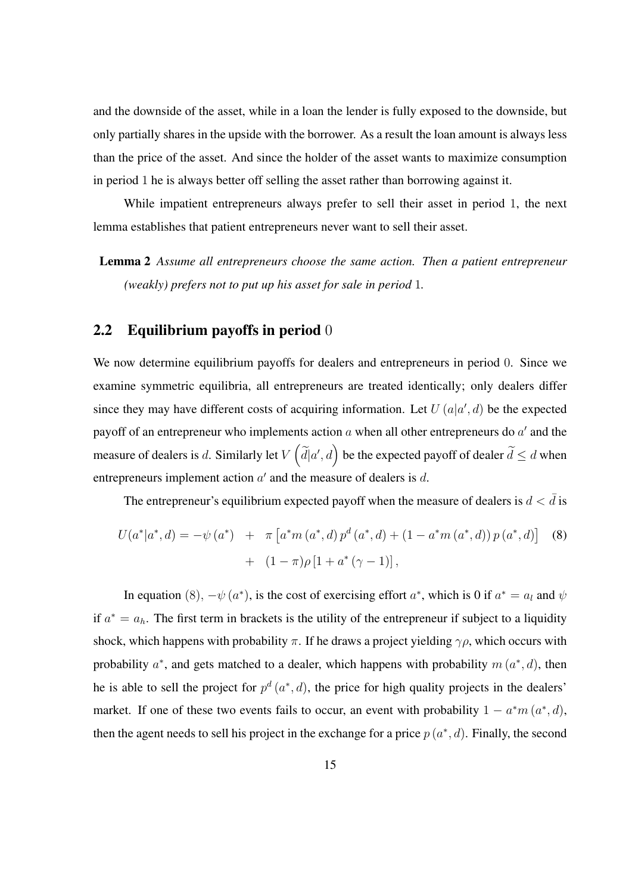and the downside of the asset, while in a loan the lender is fully exposed to the downside, but only partially shares in the upside with the borrower. As a result the loan amount is always less than the price of the asset. And since the holder of the asset wants to maximize consumption in period 1 he is always better off selling the asset rather than borrowing against it.

While impatient entrepreneurs always prefer to sell their asset in period 1, the next lemma establishes that patient entrepreneurs never want to sell their asset.

Lemma 2 *Assume all entrepreneurs choose the same action. Then a patient entrepreneur (weakly) prefers not to put up his asset for sale in period* 1*.*

## 2.2 Equilibrium payoffs in period 0

We now determine equilibrium payoffs for dealers and entrepreneurs in period 0. Since we examine symmetric equilibria, all entrepreneurs are treated identically; only dealers differ since they may have different costs of acquiring information. Let  $U(a|a',d)$  be the expected payoff of an entrepreneur who implements action *a* when all other entrepreneurs do *a ′* and the measure of dealers is *d*. Similarly let  $V\left(\tilde{d}|a',d\right)$  be the expected payoff of dealer  $\tilde{d} \leq d$  when entrepreneurs implement action *a ′* and the measure of dealers is *d*.

The entrepreneur's equilibrium expected payoff when the measure of dealers is  $d < \bar{d}$  is

$$
U(a^*|a^*,d) = -\psi(a^*) + \pi \left[ a^* m \left( a^*, d \right) p^d \left( a^*, d \right) + (1 - a^* m \left( a^*, d \right)) p \left( a^*, d \right) \right] \tag{8}
$$

$$
+ (1 - \pi) \rho \left[ 1 + a^* \left( \gamma - 1 \right) \right],
$$

In equation (8),  $-\psi(a^*)$ , is the cost of exercising effort  $a^*$ , which is 0 if  $a^* = a_l$  and  $\psi$ if  $a^* = a_h$ . The first term in brackets is the utility of the entrepreneur if subject to a liquidity shock, which happens with probability  $\pi$ . If he draws a project yielding  $\gamma \rho$ , which occurs with probability *a ∗* , and gets matched to a dealer, which happens with probability *m* (*a ∗ , d*), then he is able to sell the project for  $p^d$   $(a^*, d)$ , the price for high quality projects in the dealers' market. If one of these two events fails to occur, an event with probability  $1 - a^* m (a^*, d)$ , then the agent needs to sell his project in the exchange for a price  $p(a^*,d)$ . Finally, the second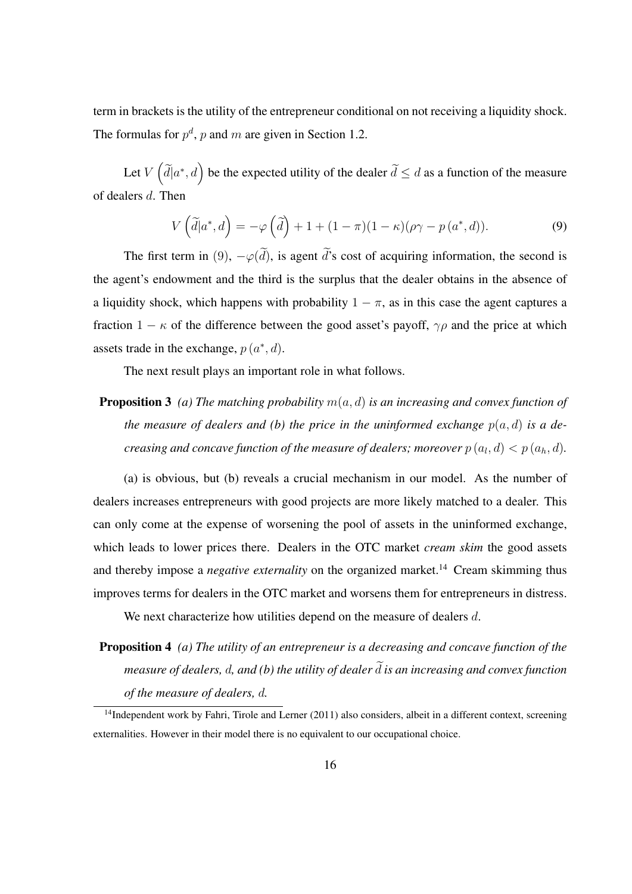term in brackets is the utility of the entrepreneur conditional on not receiving a liquidity shock. The formulas for  $p^d$ ,  $p$  and  $m$  are given in Section 1.2.

Let  $V\left(\tilde{d}|a^*,d\right)$  be the expected utility of the dealer  $\tilde{d} \leq d$  as a function of the measure of dealers *d*. Then

$$
V\left(\tilde{d}|a^*,d\right) = -\varphi\left(\tilde{d}\right) + 1 + (1-\pi)(1-\kappa)(\rho\gamma - p\left(a^*,d\right)).\tag{9}
$$

The first term in (9),  $-\varphi(\tilde{d})$ , is agent  $\tilde{d}$ 's cost of acquiring information, the second is the agent's endowment and the third is the surplus that the dealer obtains in the absence of a liquidity shock, which happens with probability  $1 - \pi$ , as in this case the agent captures a fraction  $1 - \kappa$  of the difference between the good asset's payoff,  $\gamma \rho$  and the price at which assets trade in the exchange,  $p(a^*, d)$ .

The next result plays an important role in what follows.

Proposition 3 *(a) The matching probability m*(*a, d*) *is an increasing and convex function of the measure of dealers and (b) the price in the uninformed exchange*  $p(a, d)$  *is a decreasing and concave function of the measure of dealers; moreover*  $p\left(a_{l},d\right) < p\left(a_{h},d\right)$ *.* 

(a) is obvious, but (b) reveals a crucial mechanism in our model. As the number of dealers increases entrepreneurs with good projects are more likely matched to a dealer. This can only come at the expense of worsening the pool of assets in the uninformed exchange, which leads to lower prices there. Dealers in the OTC market *cream skim* the good assets and thereby impose a *negative externality* on the organized market.<sup>14</sup> Cream skimming thus improves terms for dealers in the OTC market and worsens them for entrepreneurs in distress.

We next characterize how utilities depend on the measure of dealers *d*.

Proposition 4 *(a) The utility of an entrepreneur is a decreasing and concave function of the measure of dealers, d, and (b) the utility of dealer*  $\tilde{d}$  *is an increasing and convex function of the measure of dealers, d.*

 $14$ Independent work by Fahri, Tirole and Lerner (2011) also considers, albeit in a different context, screening externalities. However in their model there is no equivalent to our occupational choice.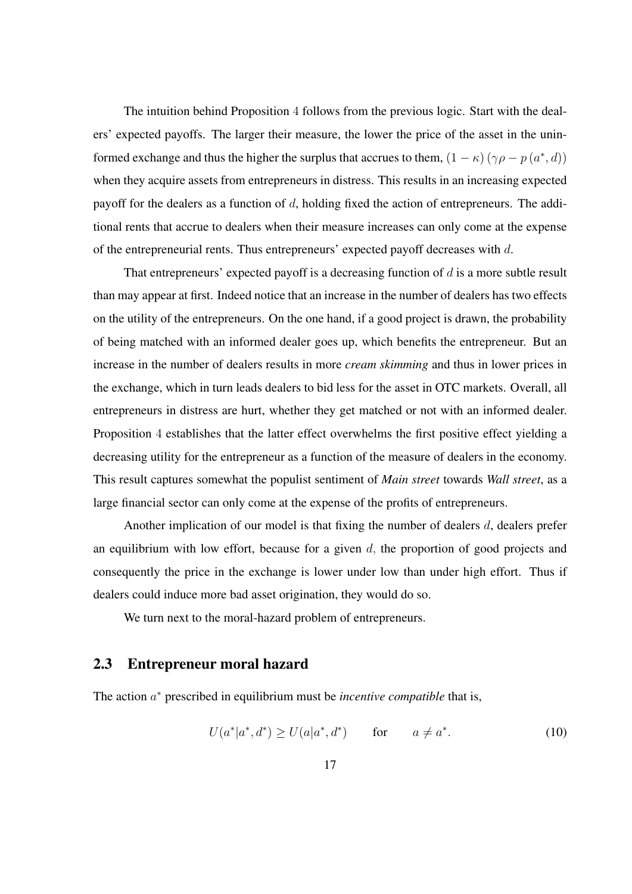The intuition behind Proposition 4 follows from the previous logic. Start with the dealers' expected payoffs. The larger their measure, the lower the price of the asset in the uninformed exchange and thus the higher the surplus that accrues to them,  $(1 - \kappa) (\gamma \rho - p(a^*, d))$ when they acquire assets from entrepreneurs in distress. This results in an increasing expected payoff for the dealers as a function of *d*, holding fixed the action of entrepreneurs. The additional rents that accrue to dealers when their measure increases can only come at the expense of the entrepreneurial rents. Thus entrepreneurs' expected payoff decreases with *d*.

That entrepreneurs' expected payoff is a decreasing function of *d* is a more subtle result than may appear at first. Indeed notice that an increase in the number of dealers has two effects on the utility of the entrepreneurs. On the one hand, if a good project is drawn, the probability of being matched with an informed dealer goes up, which benefits the entrepreneur. But an increase in the number of dealers results in more *cream skimming* and thus in lower prices in the exchange, which in turn leads dealers to bid less for the asset in OTC markets. Overall, all entrepreneurs in distress are hurt, whether they get matched or not with an informed dealer. Proposition 4 establishes that the latter effect overwhelms the first positive effect yielding a decreasing utility for the entrepreneur as a function of the measure of dealers in the economy. This result captures somewhat the populist sentiment of *Main street* towards *Wall street*, as a large financial sector can only come at the expense of the profits of entrepreneurs.

Another implication of our model is that fixing the number of dealers *d*, dealers prefer an equilibrium with low effort, because for a given *d,* the proportion of good projects and consequently the price in the exchange is lower under low than under high effort. Thus if dealers could induce more bad asset origination, they would do so.

We turn next to the moral-hazard problem of entrepreneurs.

### 2.3 Entrepreneur moral hazard

The action *a <sup>∗</sup>* prescribed in equilibrium must be *incentive compatible* that is,

$$
U(a^*|a^*,d^*) \ge U(a|a^*,d^*) \qquad \text{for} \qquad a \ne a^*.
$$
 (10)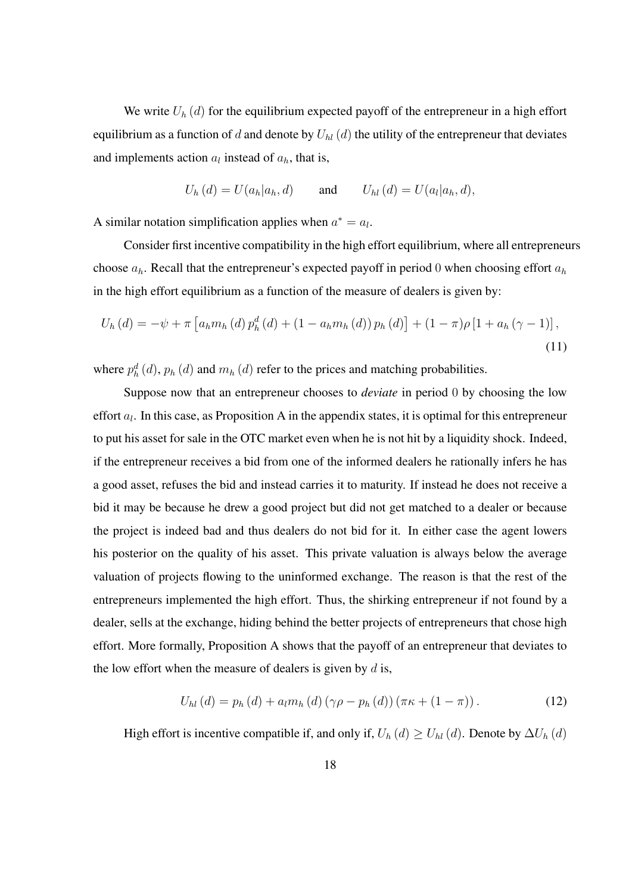We write  $U_h(d)$  for the equilibrium expected payoff of the entrepreneur in a high effort equilibrium as a function of *d* and denote by  $U_{hl}$  (*d*) the utility of the entrepreneur that deviates and implements action  $a_l$  instead of  $a_h$ , that is,

$$
U_h(d) = U(a_h|a_h, d) \qquad \text{and} \qquad U_{hl}(d) = U(a_l|a_h, d),
$$

A similar notation simplification applies when  $a^* = a_l$ .

Consider first incentive compatibility in the high effort equilibrium, where all entrepreneurs choose *ah*. Recall that the entrepreneur's expected payoff in period 0 when choosing effort *a<sup>h</sup>* in the high effort equilibrium as a function of the measure of dealers is given by:

$$
U_{h}(d) = -\psi + \pi \left[ a_{h} m_{h}(d) p_{h}^{d}(d) + (1 - a_{h} m_{h}(d)) p_{h}(d) \right] + (1 - \pi) \rho \left[ 1 + a_{h} (\gamma - 1) \right],
$$
\n(11)

where  $p_h^d(d)$ ,  $p_h(d)$  and  $m_h(d)$  refer to the prices and matching probabilities.

Suppose now that an entrepreneur chooses to *deviate* in period 0 by choosing the low effort *a<sup>l</sup>* . In this case, as Proposition A in the appendix states, it is optimal for this entrepreneur to put his asset for sale in the OTC market even when he is not hit by a liquidity shock. Indeed, if the entrepreneur receives a bid from one of the informed dealers he rationally infers he has a good asset, refuses the bid and instead carries it to maturity. If instead he does not receive a bid it may be because he drew a good project but did not get matched to a dealer or because the project is indeed bad and thus dealers do not bid for it. In either case the agent lowers his posterior on the quality of his asset. This private valuation is always below the average valuation of projects flowing to the uninformed exchange. The reason is that the rest of the entrepreneurs implemented the high effort. Thus, the shirking entrepreneur if not found by a dealer, sells at the exchange, hiding behind the better projects of entrepreneurs that chose high effort. More formally, Proposition A shows that the payoff of an entrepreneur that deviates to the low effort when the measure of dealers is given by *d* is,

$$
U_{hl}(d) = p_h(d) + a_l m_h(d) (\gamma \rho - p_h(d)) (\pi \kappa + (1 - \pi)). \tag{12}
$$

High effort is incentive compatible if, and only if,  $U_h(d) \ge U_{hl}(d)$ . Denote by  $\Delta U_h(d)$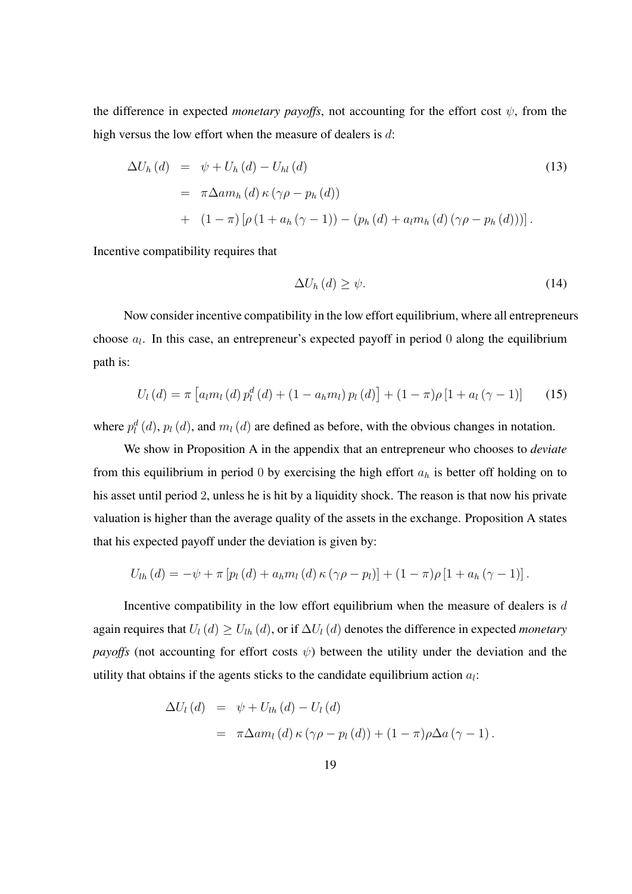the difference in expected *monetary payoffs*, not accounting for the effort cost  $\psi$ , from the high versus the low effort when the measure of dealers is *d*:

$$
\Delta U_h (d) = \psi + U_h (d) - U_{hl} (d)
$$
\n
$$
= \pi \Delta a m_h (d) \kappa (\gamma \rho - p_h (d))
$$
\n
$$
+ (1 - \pi) [\rho (1 + a_h (\gamma - 1)) - (p_h (d) + a_l m_h (d) (\gamma \rho - p_h (d)))].
$$
\n(13)

Incentive compatibility requires that

$$
\Delta U_h\left(d\right) \ge \psi. \tag{14}
$$

Now consider incentive compatibility in the low effort equilibrium, where all entrepreneurs choose *a<sup>l</sup>* . In this case, an entrepreneur's expected payoff in period 0 along the equilibrium path is:

$$
U_{l}(d) = \pi \left[ a_{l} m_{l}(d) p_{l}^{d}(d) + (1 - a_{h} m_{l}) p_{l}(d) \right] + (1 - \pi) \rho \left[ 1 + a_{l} (\gamma - 1) \right] \tag{15}
$$

where  $p_l^d(d)$ ,  $p_l(d)$ , and  $m_l(d)$  are defined as before, with the obvious changes in notation.

We show in Proposition A in the appendix that an entrepreneur who chooses to *deviate* from this equilibrium in period 0 by exercising the high effort *a<sup>h</sup>* is better off holding on to his asset until period 2, unless he is hit by a liquidity shock. The reason is that now his private valuation is higher than the average quality of the assets in the exchange. Proposition A states that his expected payoff under the deviation is given by:

$$
U_{lh}(d) = -\psi + \pi \left[ p_l(d) + a_h m_l(d) \kappa (\gamma \rho - p_l) \right] + (1 - \pi) \rho \left[ 1 + a_h(\gamma - 1) \right].
$$

Incentive compatibility in the low effort equilibrium when the measure of dealers is *d* again requires that  $U_l(d) \geq U_{lh}(d)$ , or if  $\Delta U_l(d)$  denotes the difference in expected *monetary payoffs* (not accounting for effort costs *ψ*) between the utility under the deviation and the utility that obtains if the agents sticks to the candidate equilibrium action  $a_l$ :

$$
\Delta U_l (d) = \psi + U_{lh} (d) - U_l (d)
$$
  
=  $\pi \Delta a m_l (d) \kappa (\gamma \rho - p_l (d)) + (1 - \pi) \rho \Delta a (\gamma - 1).$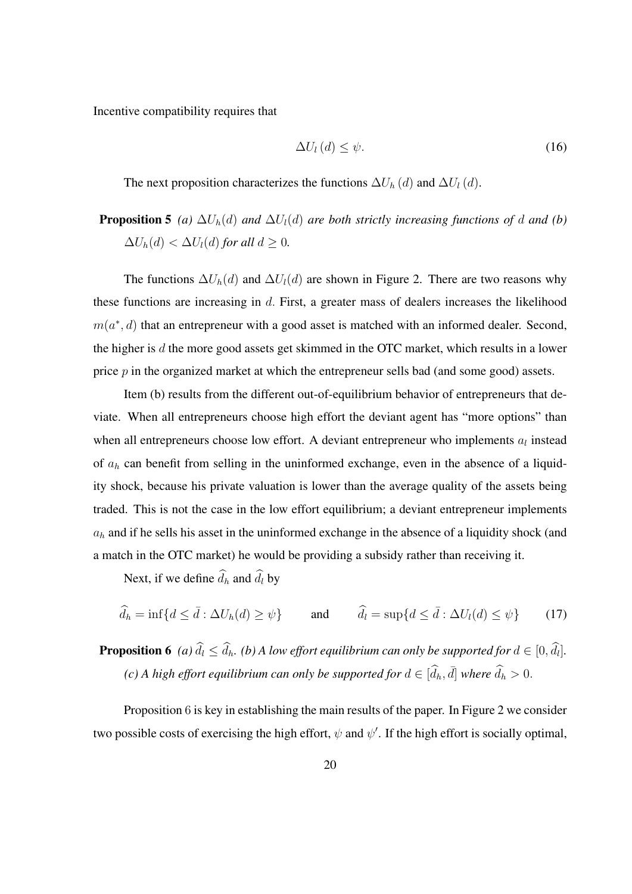Incentive compatibility requires that

$$
\Delta U_l(d) \le \psi. \tag{16}
$$

The next proposition characterizes the functions  $\Delta U_h(d)$  and  $\Delta U_l(d)$ .

## **Proposition 5** *(a)*  $\Delta U_h(d)$  *and*  $\Delta U_l(d)$  *are both strictly increasing functions of <i>d and (b)*  $\Delta U_h(d) < \Delta U_l(d)$  *for all*  $d \geq 0$ *.*

The functions  $\Delta U_h(d)$  and  $\Delta U_l(d)$  are shown in Figure 2. There are two reasons why these functions are increasing in *d.* First, a greater mass of dealers increases the likelihood  $m(a^*, d)$  that an entrepreneur with a good asset is matched with an informed dealer. Second, the higher is *d* the more good assets get skimmed in the OTC market, which results in a lower price *p* in the organized market at which the entrepreneur sells bad (and some good) assets.

Item (b) results from the different out-of-equilibrium behavior of entrepreneurs that deviate. When all entrepreneurs choose high effort the deviant agent has "more options" than when all entrepreneurs choose low effort. A deviant entrepreneur who implements  $a_l$  instead of *a<sup>h</sup>* can benefit from selling in the uninformed exchange, even in the absence of a liquidity shock, because his private valuation is lower than the average quality of the assets being traded. This is not the case in the low effort equilibrium; a deviant entrepreneur implements *a<sup>h</sup>* and if he sells his asset in the uninformed exchange in the absence of a liquidity shock (and a match in the OTC market) he would be providing a subsidy rather than receiving it.

Next, if we define  $\hat{d}_h$  and  $\hat{d}_l$  by

$$
\widehat{d}_h = \inf\{d \le \bar{d} : \Delta U_h(d) \ge \psi\} \quad \text{and} \quad \widehat{d}_l = \sup\{d \le \bar{d} : \Delta U_l(d) \le \psi\} \quad (17)
$$

**Proposition 6** (a)  $d_l \leq d_h$ . (b) A low effort equilibrium can only be supported for  $d \in [0, d_l]$ . *(c) A high effort equilibrium can only be supported for*  $d \in [\widehat{d}_h, \bar{d}]$  *where*  $\widehat{d}_h > 0$ *.* 

Proposition 6 is key in establishing the main results of the paper. In Figure 2 we consider two possible costs of exercising the high effort, *ψ* and *ψ ′* . If the high effort is socially optimal,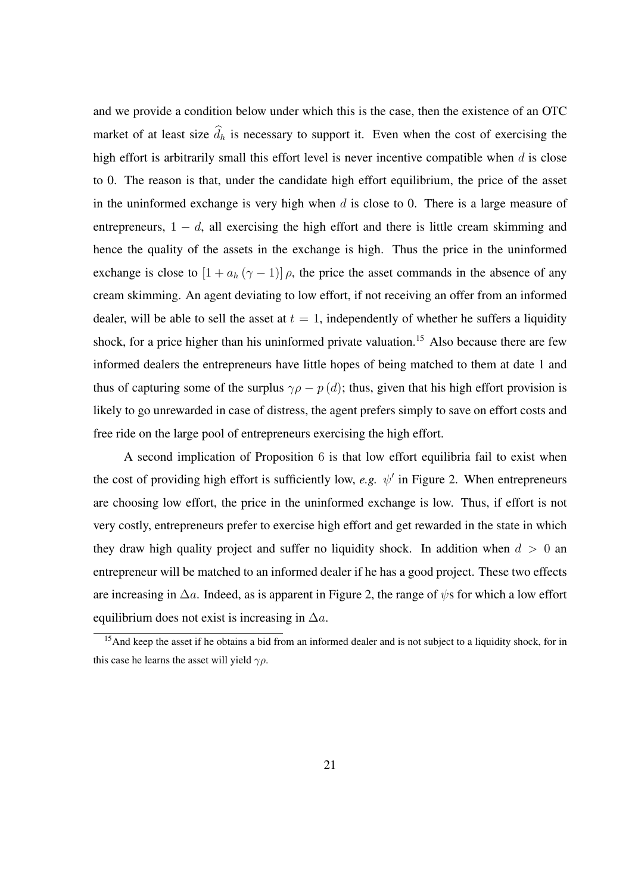and we provide a condition below under which this is the case, then the existence of an OTC market of at least size  $\hat{d}_h$  is necessary to support it. Even when the cost of exercising the high effort is arbitrarily small this effort level is never incentive compatible when *d* is close to 0. The reason is that, under the candidate high effort equilibrium, the price of the asset in the uninformed exchange is very high when *d* is close to 0. There is a large measure of entrepreneurs, 1 *− d*, all exercising the high effort and there is little cream skimming and hence the quality of the assets in the exchange is high. Thus the price in the uninformed exchange is close to  $[1 + a_h (\gamma - 1)] \rho$ , the price the asset commands in the absence of any cream skimming. An agent deviating to low effort, if not receiving an offer from an informed dealer, will be able to sell the asset at  $t = 1$ , independently of whether he suffers a liquidity shock, for a price higher than his uninformed private valuation.<sup>15</sup> Also because there are few informed dealers the entrepreneurs have little hopes of being matched to them at date 1 and thus of capturing some of the surplus  $\gamma \rho - p(d)$ ; thus, given that his high effort provision is likely to go unrewarded in case of distress, the agent prefers simply to save on effort costs and free ride on the large pool of entrepreneurs exercising the high effort.

A second implication of Proposition 6 is that low effort equilibria fail to exist when the cost of providing high effort is sufficiently low, *e.g.*  $\psi'$  in Figure 2. When entrepreneurs are choosing low effort, the price in the uninformed exchange is low. Thus, if effort is not very costly, entrepreneurs prefer to exercise high effort and get rewarded in the state in which they draw high quality project and suffer no liquidity shock. In addition when  $d > 0$  an entrepreneur will be matched to an informed dealer if he has a good project. These two effects are increasing in ∆*a*. Indeed, as is apparent in Figure 2, the range of *ψ*s for which a low effort equilibrium does not exist is increasing in ∆*a*.

<sup>&</sup>lt;sup>15</sup> And keep the asset if he obtains a bid from an informed dealer and is not subject to a liquidity shock, for in this case he learns the asset will yield *γρ*.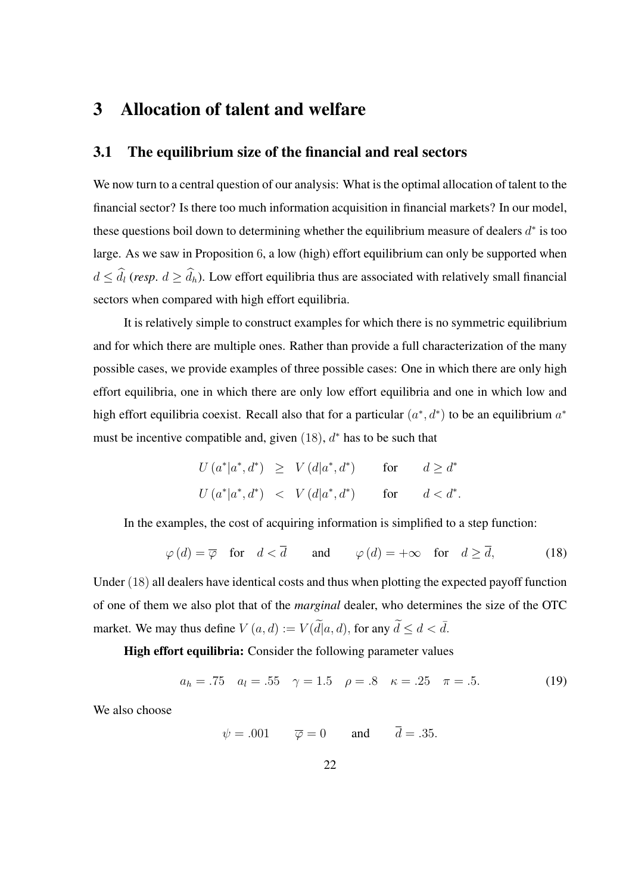## 3 Allocation of talent and welfare

## 3.1 The equilibrium size of the financial and real sectors

We now turn to a central question of our analysis: What is the optimal allocation of talent to the financial sector? Is there too much information acquisition in financial markets? In our model, these questions boil down to determining whether the equilibrium measure of dealers *d ∗* is too large. As we saw in Proposition 6, a low (high) effort equilibrium can only be supported when  $d \leq \hat{d}_l$  (*resp.*  $d \geq \hat{d}_b$ ). Low effort equilibria thus are associated with relatively small financial sectors when compared with high effort equilibria.

It is relatively simple to construct examples for which there is no symmetric equilibrium and for which there are multiple ones. Rather than provide a full characterization of the many possible cases, we provide examples of three possible cases: One in which there are only high effort equilibria, one in which there are only low effort equilibria and one in which low and high effort equilibria coexist. Recall also that for a particular  $(a^*, d^*)$  to be an equilibrium  $a^*$ must be incentive compatible and, given (18), *d <sup>∗</sup>* has to be such that

$$
U(a^*|a^*,d^*) \geq V(d|a^*,d^*) \quad \text{for} \quad d \geq d^*
$$
  

$$
U(a^*|a^*,d^*) \leq V(d|a^*,d^*) \quad \text{for} \quad d < d^*.
$$

In the examples, the cost of acquiring information is simplified to a step function:

$$
\varphi(d) = \overline{\varphi}
$$
 for  $d < \overline{d}$  and  $\varphi(d) = +\infty$  for  $d \ge \overline{d}$ , (18)

Under (18) all dealers have identical costs and thus when plotting the expected payoff function of one of them we also plot that of the *marginal* dealer, who determines the size of the OTC market. We may thus define  $V(a, d) := V(\tilde{d}|a, d)$ , for any  $\tilde{d} \leq d < \bar{d}$ .

High effort equilibria: Consider the following parameter values

$$
a_h = .75 \quad a_l = .55 \quad \gamma = 1.5 \quad \rho = .8 \quad \kappa = .25 \quad \pi = .5. \tag{19}
$$

We also choose

$$
\psi = .001
$$
  $\overline{\varphi} = 0$  and  $d = .35$ .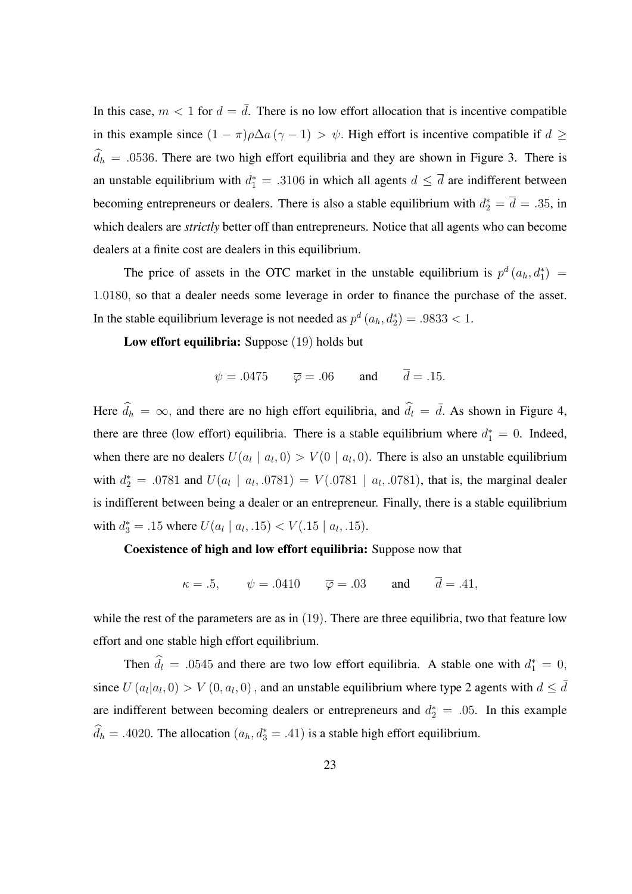In this case,  $m < 1$  for  $d = \overline{d}$ . There is no low effort allocation that is incentive compatible in this example since  $(1 - \pi)\rho\Delta a$  ( $\gamma - 1$ ) >  $\psi$ . High effort is incentive compatible if  $d \ge$  $\widehat{d}_h$  = .0536*.* There are two high effort equilibria and they are shown in Figure 3. There is an unstable equilibrium with  $d_1^* = .3106$  in which all agents  $d \leq d$  are indifferent between becoming entrepreneurs or dealers. There is also a stable equilibrium with  $d_2^* = d = .35$ , in which dealers are *strictly* better off than entrepreneurs. Notice that all agents who can become dealers at a finite cost are dealers in this equilibrium.

The price of assets in the OTC market in the unstable equilibrium is  $p^d$  ( $a_h$ ,  $d_1^*$ ) = 1*.*0180*,* so that a dealer needs some leverage in order to finance the purchase of the asset. In the stable equilibrium leverage is not needed as  $p^d$   $(a_h, d_2^*) = .9833 < 1$ .

Low effort equilibria: Suppose (19) holds but

$$
\psi = .0475
$$
  $\overline{\varphi} = .06$  and  $\overline{d} = .15$ .

Here  $\hat{d}_h = \infty$ , and there are no high effort equilibria, and  $\hat{d}_l = \bar{d}$ . As shown in Figure 4, there are three (low effort) equilibria. There is a stable equilibrium where  $d_1^* = 0$ . Indeed, when there are no dealers  $U(a_l \mid a_l, 0) > V(0 \mid a_l, 0)$ . There is also an unstable equilibrium with  $d_2^* = .0781$  and  $U(a_l \mid a_l, .0781) = V(.0781 \mid a_l, .0781)$ , that is, the marginal dealer is indifferent between being a dealer or an entrepreneur. Finally, there is a stable equilibrium with  $d_3^* = .15$  where  $U(a_l | a_l, .15) < V(.15 | a_l, .15)$ .

Coexistence of high and low effort equilibria: Suppose now that

$$
\kappa = .5,
$$
  $\psi = .0410$   $\overline{\varphi} = .03$  and  $\overline{d} = .41,$ 

while the rest of the parameters are as in (19)*.* There are three equilibria, two that feature low effort and one stable high effort equilibrium.

Then  $d_l = .0545$  and there are two low effort equilibria. A stable one with  $d_1^* = 0$ , since  $U(a_l|a_l, 0) > V(0, a_l, 0)$ , and an unstable equilibrium where type 2 agents with  $d \leq d$ are indifferent between becoming dealers or entrepreneurs and  $d_2^* = .05$ . In this example  $d_h = .4020$ . The allocation  $(a_h, d_3^* = .41)$  is a stable high effort equilibrium.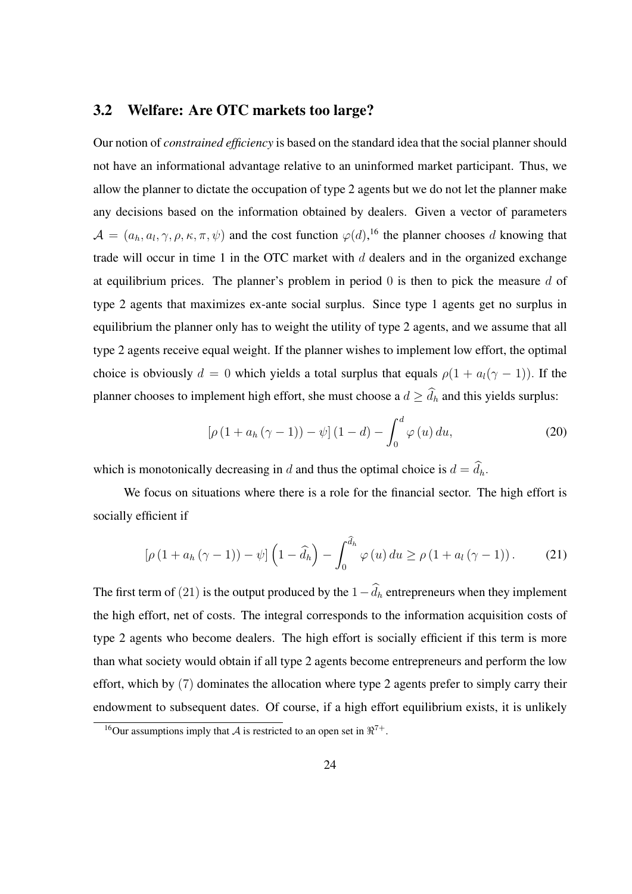## 3.2 Welfare: Are OTC markets too large?

Our notion of *constrained efficiency* is based on the standard idea that the social planner should not have an informational advantage relative to an uninformed market participant. Thus, we allow the planner to dictate the occupation of type 2 agents but we do not let the planner make any decisions based on the information obtained by dealers. Given a vector of parameters  $\mathcal{A} = (a_h, a_l, \gamma, \rho, \kappa, \pi, \psi)$  and the cost function  $\varphi(d)$ , <sup>16</sup> the planner chooses *d* knowing that trade will occur in time 1 in the OTC market with *d* dealers and in the organized exchange at equilibrium prices. The planner's problem in period 0 is then to pick the measure *d* of type 2 agents that maximizes ex-ante social surplus. Since type 1 agents get no surplus in equilibrium the planner only has to weight the utility of type 2 agents, and we assume that all type 2 agents receive equal weight. If the planner wishes to implement low effort, the optimal choice is obviously  $d = 0$  which yields a total surplus that equals  $\rho(1 + a_l(\gamma - 1))$ . If the planner chooses to implement high effort, she must choose a  $d \geq \hat{d}_h$  and this yields surplus:

$$
\left[\rho\left(1+a_h\left(\gamma-1\right)\right)-\psi\right]\left(1-d\right)-\int_0^d\varphi\left(u\right)du,\tag{20}
$$

which is monotonically decreasing in *d* and thus the optimal choice is  $d = \hat{d}_h$ .

We focus on situations where there is a role for the financial sector. The high effort is socially efficient if

$$
\left[\rho\left(1+a_h\left(\gamma-1\right)\right)-\psi\right]\left(1-\widehat{d}_h\right)-\int_0^{\widehat{d}_h}\varphi\left(u\right)du\geq\rho\left(1+a_l\left(\gamma-1\right)\right). \tag{21}
$$

The first term of (21) is the output produced by the  $1-\hat{d}_h$  entrepreneurs when they implement the high effort, net of costs. The integral corresponds to the information acquisition costs of type 2 agents who become dealers. The high effort is socially efficient if this term is more than what society would obtain if all type 2 agents become entrepreneurs and perform the low effort, which by (7) dominates the allocation where type 2 agents prefer to simply carry their endowment to subsequent dates. Of course, if a high effort equilibrium exists, it is unlikely

<sup>&</sup>lt;sup>16</sup>Our assumptions imply that *A* is restricted to an open set in  $\mathbb{R}^{7+}$ .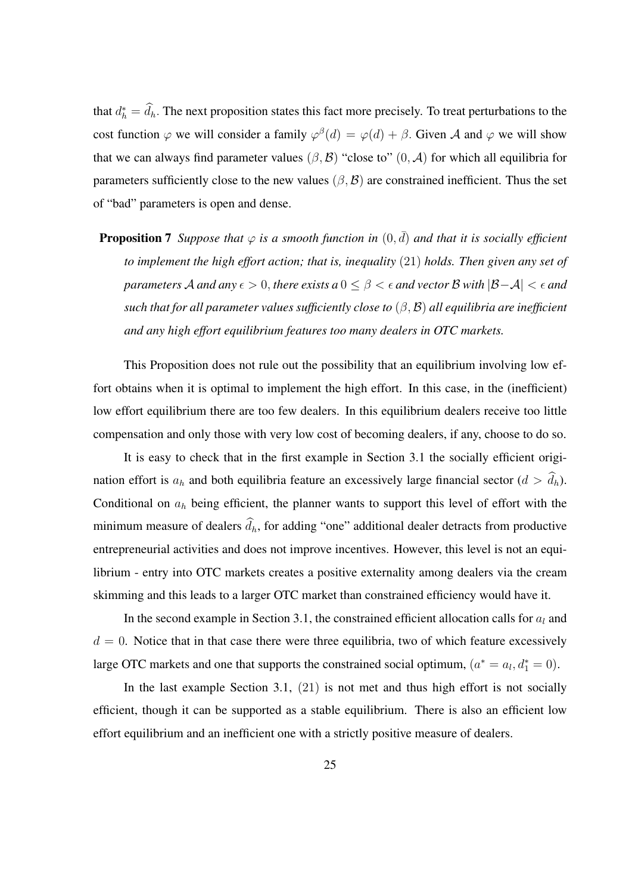that  $d_h^* = d_h$ . The next proposition states this fact more precisely. To treat perturbations to the cost function  $\varphi$  we will consider a family  $\varphi^{\beta}(d) = \varphi(d) + \beta$ . Given A and  $\varphi$  we will show that we can always find parameter values  $(\beta, \beta)$  "close to"  $(0, \mathcal{A})$  for which all equilibria for parameters sufficiently close to the new values  $(\beta, \beta)$  are constrained inefficient. Thus the set of "bad" parameters is open and dense.

**Proposition 7** Suppose that  $\varphi$  is a smooth function in  $(0, \bar{d})$  and that it is socially efficient *to implement the high effort action; that is, inequality* (21) *holds. Then given any set of parameters A and any*  $\epsilon > 0$ *, there exists*  $a \ 0 \leq \beta < \epsilon$  *and vector*  $B$  *with*  $|B-A| < \epsilon$  *and such that for all parameter values sufficiently close to* (*β, B*) *all equilibria are inefficient and any high effort equilibrium features too many dealers in OTC markets.*

This Proposition does not rule out the possibility that an equilibrium involving low effort obtains when it is optimal to implement the high effort. In this case, in the (inefficient) low effort equilibrium there are too few dealers. In this equilibrium dealers receive too little compensation and only those with very low cost of becoming dealers, if any, choose to do so.

It is easy to check that in the first example in Section 3.1 the socially efficient origination effort is  $a_h$  and both equilibria feature an excessively large financial sector  $(d > \hat{d}_h)$ . Conditional on *a<sup>h</sup>* being efficient, the planner wants to support this level of effort with the minimum measure of dealers  $\hat{d}_h$ , for adding "one" additional dealer detracts from productive entrepreneurial activities and does not improve incentives. However, this level is not an equilibrium - entry into OTC markets creates a positive externality among dealers via the cream skimming and this leads to a larger OTC market than constrained efficiency would have it.

In the second example in Section 3.1, the constrained efficient allocation calls for *a<sup>l</sup>* and  $d = 0$ . Notice that in that case there were three equilibria, two of which feature excessively large OTC markets and one that supports the constrained social optimum,  $(a^* = a_l, d_1^* = 0)$ .

In the last example Section 3.1, (21) is not met and thus high effort is not socially efficient, though it can be supported as a stable equilibrium. There is also an efficient low effort equilibrium and an inefficient one with a strictly positive measure of dealers.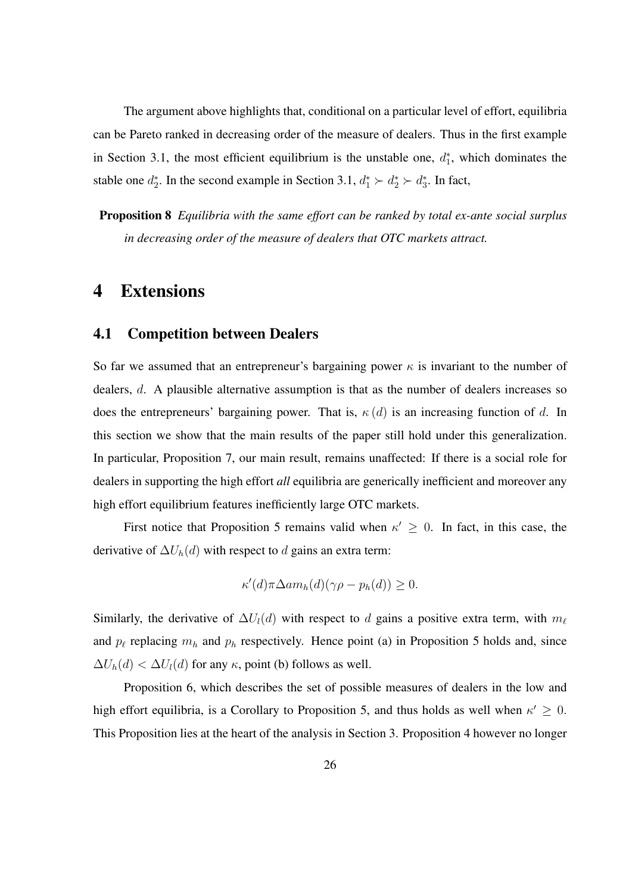The argument above highlights that, conditional on a particular level of effort, equilibria can be Pareto ranked in decreasing order of the measure of dealers. Thus in the first example in Section 3.1, the most efficient equilibrium is the unstable one,  $d_1^*$ , which dominates the stable one  $d_2^*$ . In the second example in Section 3.1,  $d_1^* \succ d_2^* \succ d_3^*$ . In fact,

Proposition 8 *Equilibria with the same effort can be ranked by total ex-ante social surplus in decreasing order of the measure of dealers that OTC markets attract.*

## 4 Extensions

### 4.1 Competition between Dealers

So far we assumed that an entrepreneur's bargaining power *κ* is invariant to the number of dealers, *d*. A plausible alternative assumption is that as the number of dealers increases so does the entrepreneurs' bargaining power. That is, *κ* (*d*) is an increasing function of *d*. In this section we show that the main results of the paper still hold under this generalization. In particular, Proposition 7, our main result, remains unaffected: If there is a social role for dealers in supporting the high effort *all* equilibria are generically inefficient and moreover any high effort equilibrium features inefficiently large OTC markets.

First notice that Proposition 5 remains valid when  $\kappa' \geq 0$ . In fact, in this case, the derivative of  $\Delta U_h(d)$  with respect to *d* gains an extra term:

$$
\kappa'(d)\pi \Delta a m_h(d)(\gamma \rho - p_h(d)) \ge 0.
$$

Similarly, the derivative of  $\Delta U_l(d)$  with respect to *d* gains a positive extra term, with  $m_\ell$ and  $p_\ell$  replacing  $m_h$  and  $p_h$  respectively. Hence point (a) in Proposition 5 holds and, since  $\Delta U_h(d) < \Delta U_l(d)$  for any  $\kappa$ , point (b) follows as well.

Proposition 6, which describes the set of possible measures of dealers in the low and high effort equilibria, is a Corollary to Proposition 5, and thus holds as well when  $\kappa' \geq 0$ . This Proposition lies at the heart of the analysis in Section 3. Proposition 4 however no longer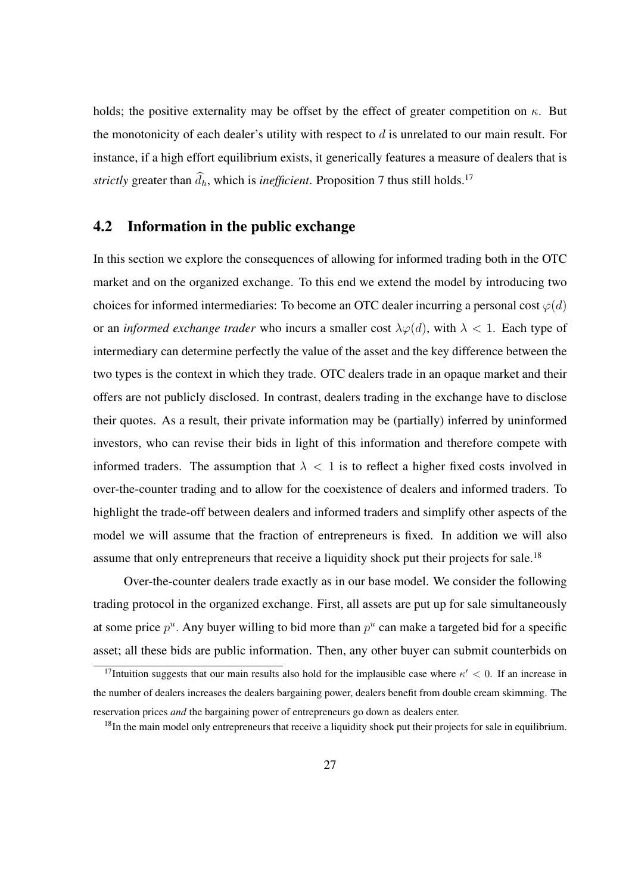holds; the positive externality may be offset by the effect of greater competition on *κ*. But the monotonicity of each dealer's utility with respect to *d* is unrelated to our main result. For instance, if a high effort equilibrium exists, it generically features a measure of dealers that is *strictly* greater than  $\hat{d}_b$ , which is *inefficient*. Proposition 7 thus still holds.<sup>17</sup>

## 4.2 Information in the public exchange

In this section we explore the consequences of allowing for informed trading both in the OTC market and on the organized exchange. To this end we extend the model by introducing two choices for informed intermediaries: To become an OTC dealer incurring a personal cost  $\varphi(d)$ or an *informed exchange trader* who incurs a smaller cost  $\lambda \varphi(d)$ , with  $\lambda < 1$ . Each type of intermediary can determine perfectly the value of the asset and the key difference between the two types is the context in which they trade. OTC dealers trade in an opaque market and their offers are not publicly disclosed. In contrast, dealers trading in the exchange have to disclose their quotes. As a result, their private information may be (partially) inferred by uninformed investors, who can revise their bids in light of this information and therefore compete with informed traders. The assumption that  $\lambda < 1$  is to reflect a higher fixed costs involved in over-the-counter trading and to allow for the coexistence of dealers and informed traders. To highlight the trade-off between dealers and informed traders and simplify other aspects of the model we will assume that the fraction of entrepreneurs is fixed. In addition we will also assume that only entrepreneurs that receive a liquidity shock put their projects for sale.<sup>18</sup>

Over-the-counter dealers trade exactly as in our base model. We consider the following trading protocol in the organized exchange. First, all assets are put up for sale simultaneously at some price  $p^u$ . Any buyer willing to bid more than  $p^u$  can make a targeted bid for a specific asset; all these bids are public information. Then, any other buyer can submit counterbids on

<sup>&</sup>lt;sup>17</sup>Intuition suggests that our main results also hold for the implausible case where  $\kappa' < 0$ . If an increase in the number of dealers increases the dealers bargaining power, dealers benefit from double cream skimming. The reservation prices *and* the bargaining power of entrepreneurs go down as dealers enter.

 $18$ In the main model only entrepreneurs that receive a liquidity shock put their projects for sale in equilibrium.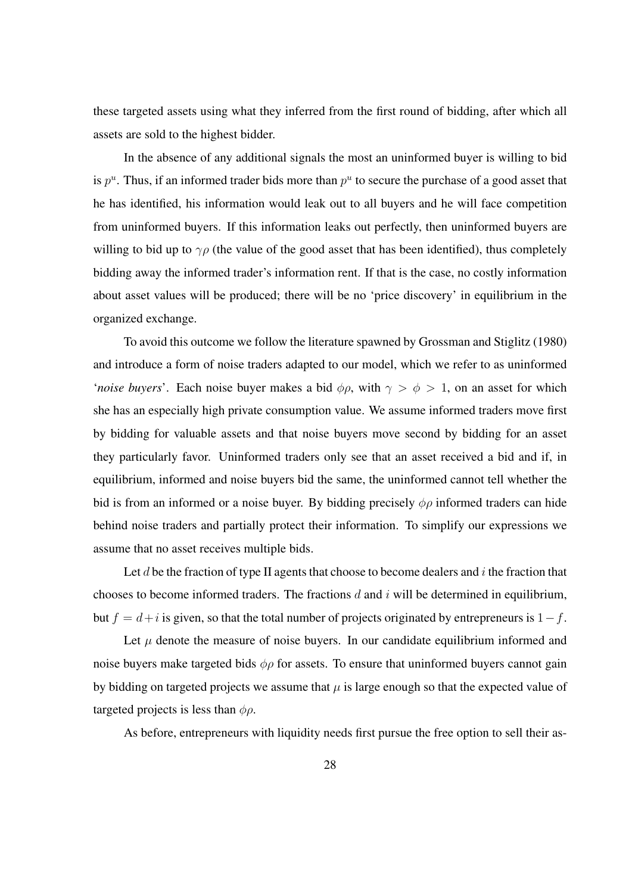these targeted assets using what they inferred from the first round of bidding, after which all assets are sold to the highest bidder.

In the absence of any additional signals the most an uninformed buyer is willing to bid is  $p^u$ . Thus, if an informed trader bids more than  $p^u$  to secure the purchase of a good asset that he has identified, his information would leak out to all buyers and he will face competition from uninformed buyers. If this information leaks out perfectly, then uninformed buyers are willing to bid up to  $\gamma \rho$  (the value of the good asset that has been identified), thus completely bidding away the informed trader's information rent. If that is the case, no costly information about asset values will be produced; there will be no 'price discovery' in equilibrium in the organized exchange.

To avoid this outcome we follow the literature spawned by Grossman and Stiglitz (1980) and introduce a form of noise traders adapted to our model, which we refer to as uninformed '*noise buyers*'. Each noise buyer makes a bid  $\phi \rho$ , with  $\gamma > \phi > 1$ , on an asset for which she has an especially high private consumption value. We assume informed traders move first by bidding for valuable assets and that noise buyers move second by bidding for an asset they particularly favor. Uninformed traders only see that an asset received a bid and if, in equilibrium, informed and noise buyers bid the same, the uninformed cannot tell whether the bid is from an informed or a noise buyer. By bidding precisely *ϕρ* informed traders can hide behind noise traders and partially protect their information. To simplify our expressions we assume that no asset receives multiple bids.

Let *d* be the fraction of type II agents that choose to become dealers and *i* the fraction that chooses to become informed traders. The fractions *d* and *i* will be determined in equilibrium, but *f* = *d*+*i* is given, so that the total number of projects originated by entrepreneurs is 1*−f*.

Let  $\mu$  denote the measure of noise buyers. In our candidate equilibrium informed and noise buyers make targeted bids *ϕρ* for assets. To ensure that uninformed buyers cannot gain by bidding on targeted projects we assume that  $\mu$  is large enough so that the expected value of targeted projects is less than *ϕρ*.

As before, entrepreneurs with liquidity needs first pursue the free option to sell their as-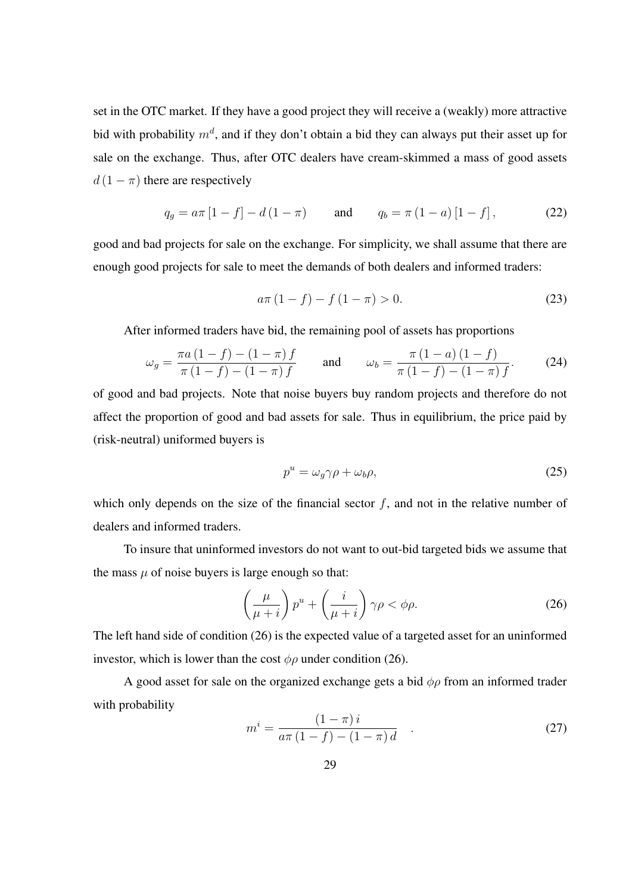set in the OTC market. If they have a good project they will receive a (weakly) more attractive bid with probability *m<sup>d</sup>* , and if they don't obtain a bid they can always put their asset up for sale on the exchange. Thus, after OTC dealers have cream-skimmed a mass of good assets  $d(1 - \pi)$  there are respectively

$$
q_g = a\pi [1 - f] - d(1 - \pi)
$$
 and  $q_b = \pi (1 - a) [1 - f],$  (22)

good and bad projects for sale on the exchange. For simplicity, we shall assume that there are enough good projects for sale to meet the demands of both dealers and informed traders:

$$
a\pi (1 - f) - f (1 - \pi) > 0.
$$
 (23)

After informed traders have bid, the remaining pool of assets has proportions

$$
\omega_g = \frac{\pi a (1 - f) - (1 - \pi) f}{\pi (1 - f) - (1 - \pi) f} \quad \text{and} \quad \omega_b = \frac{\pi (1 - a) (1 - f)}{\pi (1 - f) - (1 - \pi) f}.
$$
 (24)

of good and bad projects. Note that noise buyers buy random projects and therefore do not affect the proportion of good and bad assets for sale. Thus in equilibrium, the price paid by (risk-neutral) uniformed buyers is

$$
p^u = \omega_g \gamma \rho + \omega_b \rho, \tag{25}
$$

which only depends on the size of the financial sector f, and not in the relative number of dealers and informed traders.

To insure that uninformed investors do not want to out-bid targeted bids we assume that the mass  $\mu$  of noise buyers is large enough so that:

$$
\left(\frac{\mu}{\mu+i}\right)p^u + \left(\frac{i}{\mu+i}\right)\gamma\rho < \phi\rho.\tag{26}
$$

The left hand side of condition (26) is the expected value of a targeted asset for an uninformed investor, which is lower than the cost  $\phi \rho$  under condition (26).

A good asset for sale on the organized exchange gets a bid *ϕρ* from an informed trader with probability

$$
m^{i} = \frac{(1 - \pi)i}{a\pi (1 - f) - (1 - \pi)d} \quad . \tag{27}
$$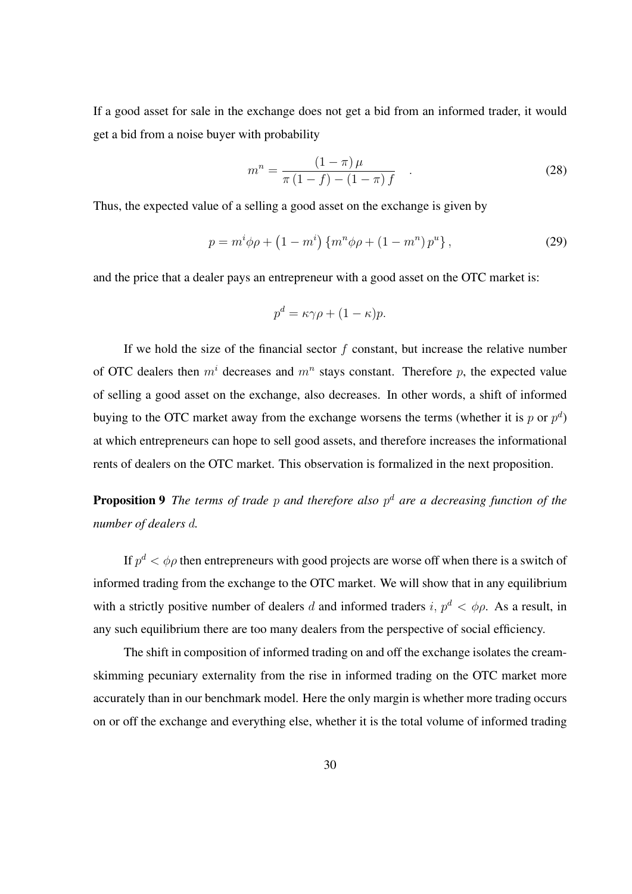If a good asset for sale in the exchange does not get a bid from an informed trader, it would get a bid from a noise buyer with probability

$$
m^{n} = \frac{(1 - \pi)\,\mu}{\pi\,(1 - f) - (1 - \pi)\,f} \quad . \tag{28}
$$

Thus, the expected value of a selling a good asset on the exchange is given by

$$
p = m^{i} \phi \rho + (1 - m^{i}) \{ m^{n} \phi \rho + (1 - m^{n}) p^{u} \},
$$
 (29)

and the price that a dealer pays an entrepreneur with a good asset on the OTC market is:

$$
p^d = \kappa \gamma \rho + (1 - \kappa)p.
$$

If we hold the size of the financial sector *f* constant, but increase the relative number of OTC dealers then  $m^i$  decreases and  $m^n$  stays constant. Therefore p, the expected value of selling a good asset on the exchange, also decreases. In other words, a shift of informed buying to the OTC market away from the exchange worsens the terms (whether it is  $p$  or  $p<sup>d</sup>$ ) at which entrepreneurs can hope to sell good assets, and therefore increases the informational rents of dealers on the OTC market. This observation is formalized in the next proposition.

**Proposition 9** The terms of trade p and therefore also  $p^d$  are a decreasing function of the *number of dealers d.*

If  $p^d < \phi \rho$  then entrepreneurs with good projects are worse off when there is a switch of informed trading from the exchange to the OTC market. We will show that in any equilibrium with a strictly positive number of dealers *d* and informed traders *i*,  $p^d < \phi \rho$ . As a result, in any such equilibrium there are too many dealers from the perspective of social efficiency.

The shift in composition of informed trading on and off the exchange isolates the creamskimming pecuniary externality from the rise in informed trading on the OTC market more accurately than in our benchmark model. Here the only margin is whether more trading occurs on or off the exchange and everything else, whether it is the total volume of informed trading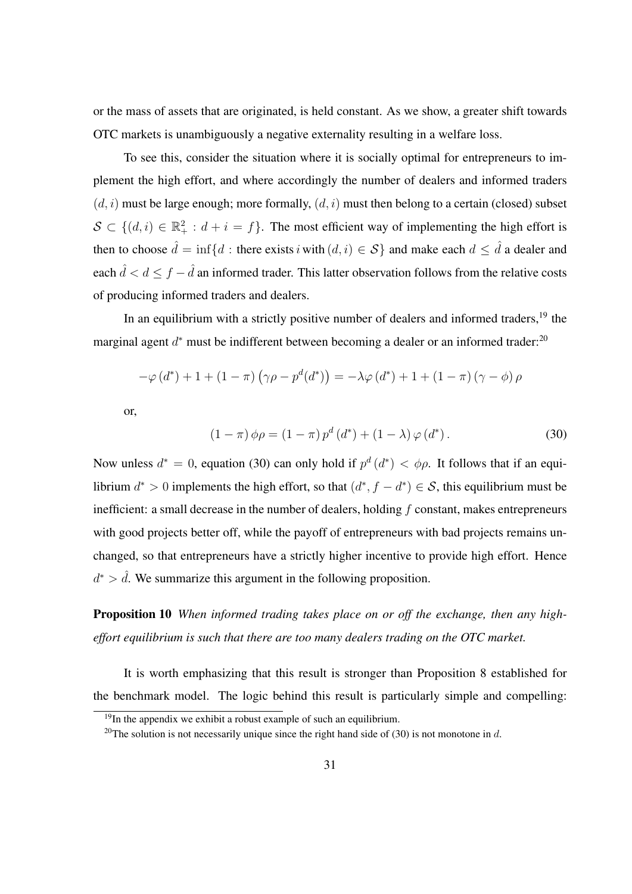or the mass of assets that are originated, is held constant. As we show, a greater shift towards OTC markets is unambiguously a negative externality resulting in a welfare loss.

To see this, consider the situation where it is socially optimal for entrepreneurs to implement the high effort, and where accordingly the number of dealers and informed traders  $(d, i)$  must be large enough; more formally,  $(d, i)$  must then belong to a certain (closed) subset  $S \subset \{(d, i) \in \mathbb{R}^2_+ : d + i = f\}$ . The most efficient way of implementing the high effort is then to choose  $\hat{d} = \inf\{d : \text{there exists } i \text{ with } (d, i) \in S\}$  and make each  $d \leq \hat{d}$  a dealer and each  $\hat{d} < d \leq f - \hat{d}$  an informed trader. This latter observation follows from the relative costs of producing informed traders and dealers.

In an equilibrium with a strictly positive number of dealers and informed traders.<sup>19</sup> the marginal agent *d*<sup>∗</sup> must be indifferent between becoming a dealer or an informed trader:<sup>20</sup>

$$
-\varphi(d^*) + 1 + (1 - \pi)\left(\gamma\rho - p^d(d^*)\right) = -\lambda\varphi(d^*) + 1 + (1 - \pi)\left(\gamma - \phi\right)\rho
$$

or,

$$
(1 - \pi)\,\phi\rho = (1 - \pi)\,p^d\,(d^*) + (1 - \lambda)\,\varphi\,(d^*).
$$
 (30)

Now unless  $d^* = 0$ , equation (30) can only hold if  $p^d(d^*) < \phi \rho$ . It follows that if an equilibrium  $d^* > 0$  implements the high effort, so that  $(d^*, f - d^*) \in S$ , this equilibrium must be inefficient: a small decrease in the number of dealers, holding *f* constant, makes entrepreneurs with good projects better off, while the payoff of entrepreneurs with bad projects remains unchanged, so that entrepreneurs have a strictly higher incentive to provide high effort. Hence  $d^*$  >  $\hat{d}$ . We summarize this argument in the following proposition.

Proposition 10 *When informed trading takes place on or off the exchange, then any higheffort equilibrium is such that there are too many dealers trading on the OTC market.*

It is worth emphasizing that this result is stronger than Proposition 8 established for the benchmark model. The logic behind this result is particularly simple and compelling:

 $19$ In the appendix we exhibit a robust example of such an equilibrium.

<sup>&</sup>lt;sup>20</sup>The solution is not necessarily unique since the right hand side of (30) is not monotone in *d*.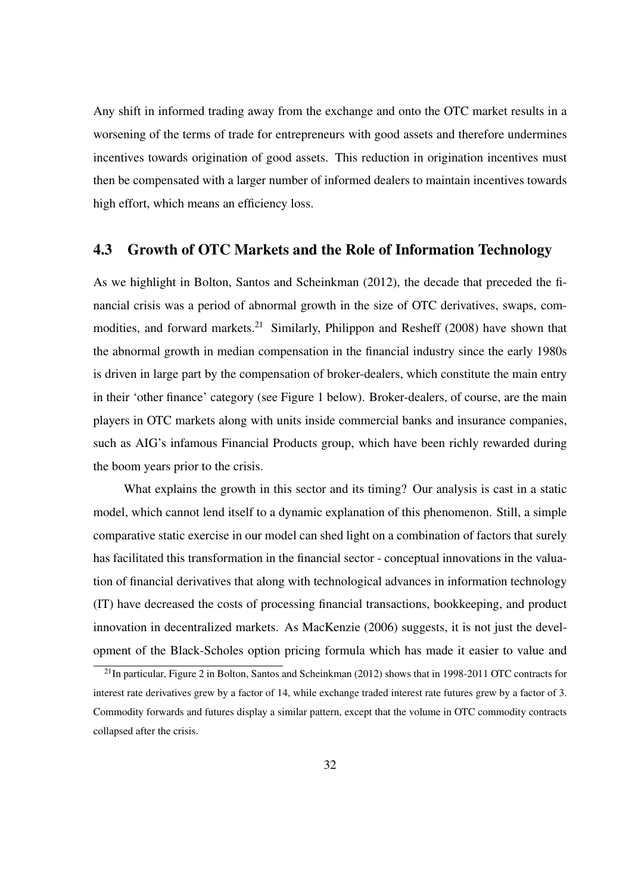Any shift in informed trading away from the exchange and onto the OTC market results in a worsening of the terms of trade for entrepreneurs with good assets and therefore undermines incentives towards origination of good assets. This reduction in origination incentives must then be compensated with a larger number of informed dealers to maintain incentives towards high effort, which means an efficiency loss.

## 4.3 Growth of OTC Markets and the Role of Information Technology

As we highlight in Bolton, Santos and Scheinkman (2012), the decade that preceded the financial crisis was a period of abnormal growth in the size of OTC derivatives, swaps, commodities, and forward markets.<sup>21</sup> Similarly, Philippon and Resheff (2008) have shown that the abnormal growth in median compensation in the financial industry since the early 1980s is driven in large part by the compensation of broker-dealers, which constitute the main entry in their 'other finance' category (see Figure 1 below). Broker-dealers, of course, are the main players in OTC markets along with units inside commercial banks and insurance companies, such as AIG's infamous Financial Products group, which have been richly rewarded during the boom years prior to the crisis.

What explains the growth in this sector and its timing? Our analysis is cast in a static model, which cannot lend itself to a dynamic explanation of this phenomenon. Still, a simple comparative static exercise in our model can shed light on a combination of factors that surely has facilitated this transformation in the financial sector - conceptual innovations in the valuation of financial derivatives that along with technological advances in information technology (IT) have decreased the costs of processing financial transactions, bookkeeping, and product innovation in decentralized markets. As MacKenzie (2006) suggests, it is not just the development of the Black-Scholes option pricing formula which has made it easier to value and

<sup>&</sup>lt;sup>21</sup>In particular, Figure 2 in Bolton, Santos and Scheinkman (2012) shows that in 1998-2011 OTC contracts for interest rate derivatives grew by a factor of 14, while exchange traded interest rate futures grew by a factor of 3. Commodity forwards and futures display a similar pattern, except that the volume in OTC commodity contracts collapsed after the crisis.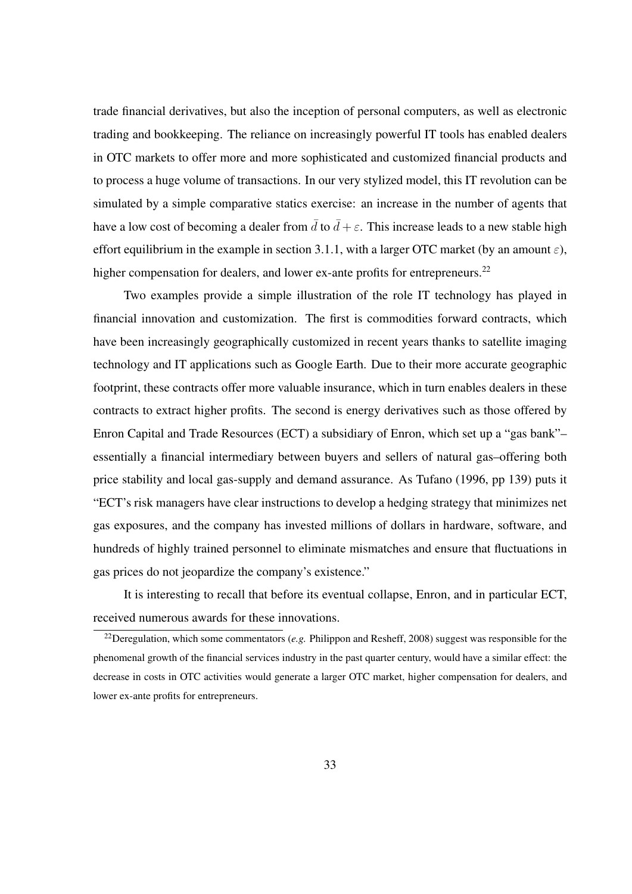trade financial derivatives, but also the inception of personal computers, as well as electronic trading and bookkeeping. The reliance on increasingly powerful IT tools has enabled dealers in OTC markets to offer more and more sophisticated and customized financial products and to process a huge volume of transactions. In our very stylized model, this IT revolution can be simulated by a simple comparative statics exercise: an increase in the number of agents that have a low cost of becoming a dealer from  $\bar{d}$  to  $\bar{d} + \varepsilon$ . This increase leads to a new stable high effort equilibrium in the example in section 3.1.1, with a larger OTC market (by an amount  $\varepsilon$ ), higher compensation for dealers, and lower ex-ante profits for entrepreneurs.<sup>22</sup>

Two examples provide a simple illustration of the role IT technology has played in financial innovation and customization. The first is commodities forward contracts, which have been increasingly geographically customized in recent years thanks to satellite imaging technology and IT applications such as Google Earth. Due to their more accurate geographic footprint, these contracts offer more valuable insurance, which in turn enables dealers in these contracts to extract higher profits. The second is energy derivatives such as those offered by Enron Capital and Trade Resources (ECT) a subsidiary of Enron, which set up a "gas bank"– essentially a financial intermediary between buyers and sellers of natural gas–offering both price stability and local gas-supply and demand assurance. As Tufano (1996, pp 139) puts it "ECT's risk managers have clear instructions to develop a hedging strategy that minimizes net gas exposures, and the company has invested millions of dollars in hardware, software, and hundreds of highly trained personnel to eliminate mismatches and ensure that fluctuations in gas prices do not jeopardize the company's existence."

It is interesting to recall that before its eventual collapse, Enron, and in particular ECT, received numerous awards for these innovations.

<sup>22</sup>Deregulation, which some commentators (*e.g.* Philippon and Resheff, 2008) suggest was responsible for the phenomenal growth of the financial services industry in the past quarter century, would have a similar effect: the decrease in costs in OTC activities would generate a larger OTC market, higher compensation for dealers, and lower ex-ante profits for entrepreneurs.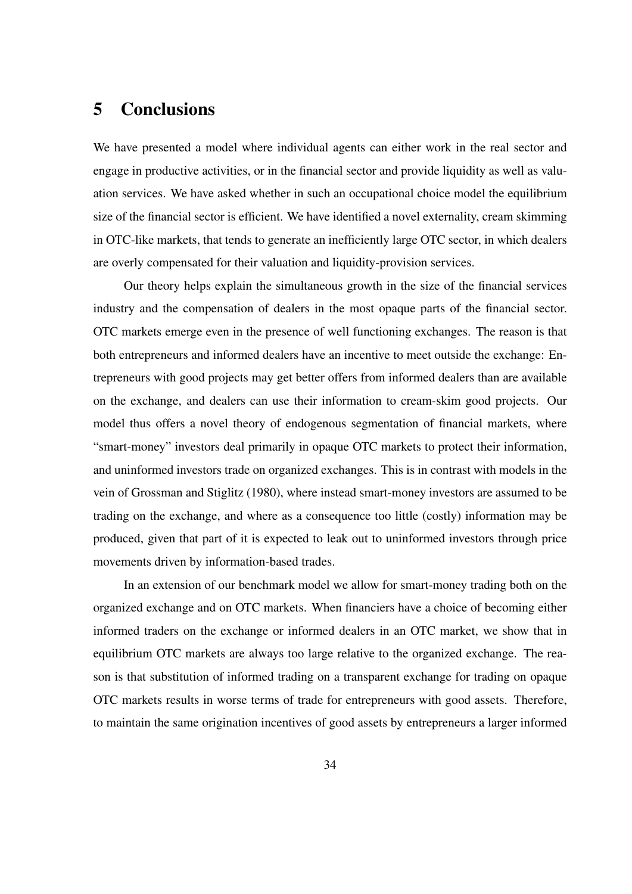## 5 Conclusions

We have presented a model where individual agents can either work in the real sector and engage in productive activities, or in the financial sector and provide liquidity as well as valuation services. We have asked whether in such an occupational choice model the equilibrium size of the financial sector is efficient. We have identified a novel externality, cream skimming in OTC-like markets, that tends to generate an inefficiently large OTC sector, in which dealers are overly compensated for their valuation and liquidity-provision services.

Our theory helps explain the simultaneous growth in the size of the financial services industry and the compensation of dealers in the most opaque parts of the financial sector. OTC markets emerge even in the presence of well functioning exchanges. The reason is that both entrepreneurs and informed dealers have an incentive to meet outside the exchange: Entrepreneurs with good projects may get better offers from informed dealers than are available on the exchange, and dealers can use their information to cream-skim good projects. Our model thus offers a novel theory of endogenous segmentation of financial markets, where "smart-money" investors deal primarily in opaque OTC markets to protect their information, and uninformed investors trade on organized exchanges. This is in contrast with models in the vein of Grossman and Stiglitz (1980), where instead smart-money investors are assumed to be trading on the exchange, and where as a consequence too little (costly) information may be produced, given that part of it is expected to leak out to uninformed investors through price movements driven by information-based trades.

In an extension of our benchmark model we allow for smart-money trading both on the organized exchange and on OTC markets. When financiers have a choice of becoming either informed traders on the exchange or informed dealers in an OTC market, we show that in equilibrium OTC markets are always too large relative to the organized exchange. The reason is that substitution of informed trading on a transparent exchange for trading on opaque OTC markets results in worse terms of trade for entrepreneurs with good assets. Therefore, to maintain the same origination incentives of good assets by entrepreneurs a larger informed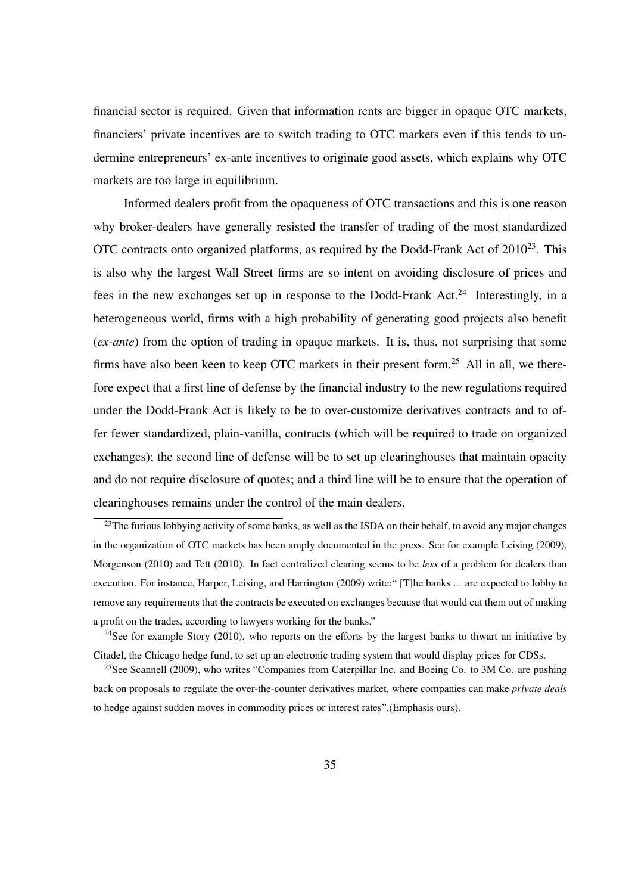financial sector is required. Given that information rents are bigger in opaque OTC markets, financiers' private incentives are to switch trading to OTC markets even if this tends to undermine entrepreneurs' ex-ante incentives to originate good assets, which explains why OTC markets are too large in equilibrium.

Informed dealers profit from the opaqueness of OTC transactions and this is one reason why broker-dealers have generally resisted the transfer of trading of the most standardized OTC contracts onto organized platforms, as required by the Dodd-Frank Act of 2010<sup>23</sup>. This is also why the largest Wall Street firms are so intent on avoiding disclosure of prices and fees in the new exchanges set up in response to the Dodd-Frank Act.<sup>24</sup> Interestingly, in a heterogeneous world, firms with a high probability of generating good projects also benefit (*ex-ante*) from the option of trading in opaque markets. It is, thus, not surprising that some firms have also been keen to keep OTC markets in their present form.<sup>25</sup> All in all, we therefore expect that a first line of defense by the financial industry to the new regulations required under the Dodd-Frank Act is likely to be to over-customize derivatives contracts and to offer fewer standardized, plain-vanilla, contracts (which will be required to trade on organized exchanges); the second line of defense will be to set up clearinghouses that maintain opacity and do not require disclosure of quotes; and a third line will be to ensure that the operation of clearinghouses remains under the control of the main dealers.

<sup>&</sup>lt;sup>23</sup>The furious lobbying activity of some banks, as well as the ISDA on their behalf, to avoid any major changes in the organization of OTC markets has been amply documented in the press. See for example Leising (2009), Morgenson (2010) and Tett (2010). In fact centralized clearing seems to be *less* of a problem for dealers than execution. For instance, Harper, Leising, and Harrington (2009) write:" [T]he banks ... are expected to lobby to remove any requirements that the contracts be executed on exchanges because that would cut them out of making a profit on the trades, according to lawyers working for the banks."

<sup>&</sup>lt;sup>24</sup>See for example Story (2010), who reports on the efforts by the largest banks to thwart an initiative by Citadel, the Chicago hedge fund, to set up an electronic trading system that would display prices for CDSs.

<sup>&</sup>lt;sup>25</sup>See Scannell (2009), who writes "Companies from Caterpillar Inc. and Boeing Co. to 3M Co. are pushing back on proposals to regulate the over-the-counter derivatives market, where companies can make *private deals* to hedge against sudden moves in commodity prices or interest rates".(Emphasis ours).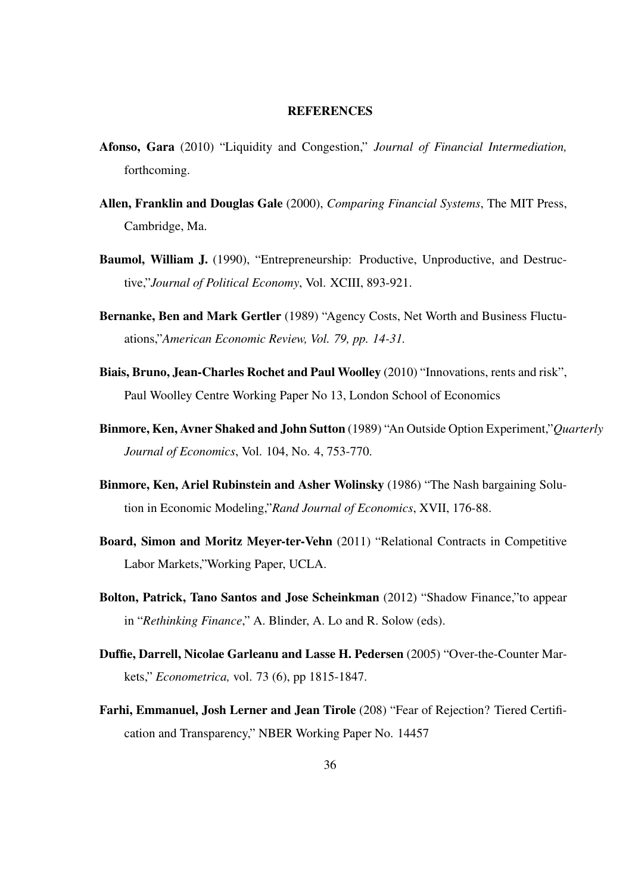### **REFERENCES**

- Afonso, Gara (2010) "Liquidity and Congestion," *Journal of Financial Intermediation,* forthcoming.
- Allen, Franklin and Douglas Gale (2000), *Comparing Financial Systems*, The MIT Press, Cambridge, Ma.
- Baumol, William J. (1990), "Entrepreneurship: Productive, Unproductive, and Destructive,"*Journal of Political Economy*, Vol. XCIII, 893-921.
- Bernanke, Ben and Mark Gertler (1989) "Agency Costs, Net Worth and Business Fluctuations,"*American Economic Review, Vol. 79, pp. 14-31.*
- Biais, Bruno, Jean-Charles Rochet and Paul Woolley (2010) "Innovations, rents and risk", Paul Woolley Centre Working Paper No 13, London School of Economics
- Binmore, Ken, Avner Shaked and John Sutton (1989) "An Outside Option Experiment,"*Quarterly Journal of Economics*, Vol. 104, No. 4, 753-770.
- Binmore, Ken, Ariel Rubinstein and Asher Wolinsky (1986) "The Nash bargaining Solution in Economic Modeling,"*Rand Journal of Economics*, XVII, 176-88.
- Board, Simon and Moritz Meyer-ter-Vehn (2011) "Relational Contracts in Competitive Labor Markets,"Working Paper, UCLA.
- Bolton, Patrick, Tano Santos and Jose Scheinkman (2012) "Shadow Finance,"to appear in "*Rethinking Finance*," A. Blinder, A. Lo and R. Solow (eds).
- Duffie, Darrell, Nicolae Garleanu and Lasse H. Pedersen (2005) "Over-the-Counter Markets," *Econometrica,* vol. 73 (6), pp 1815-1847.
- Farhi, Emmanuel, Josh Lerner and Jean Tirole (208) "Fear of Rejection? Tiered Certification and Transparency," NBER Working Paper No. 14457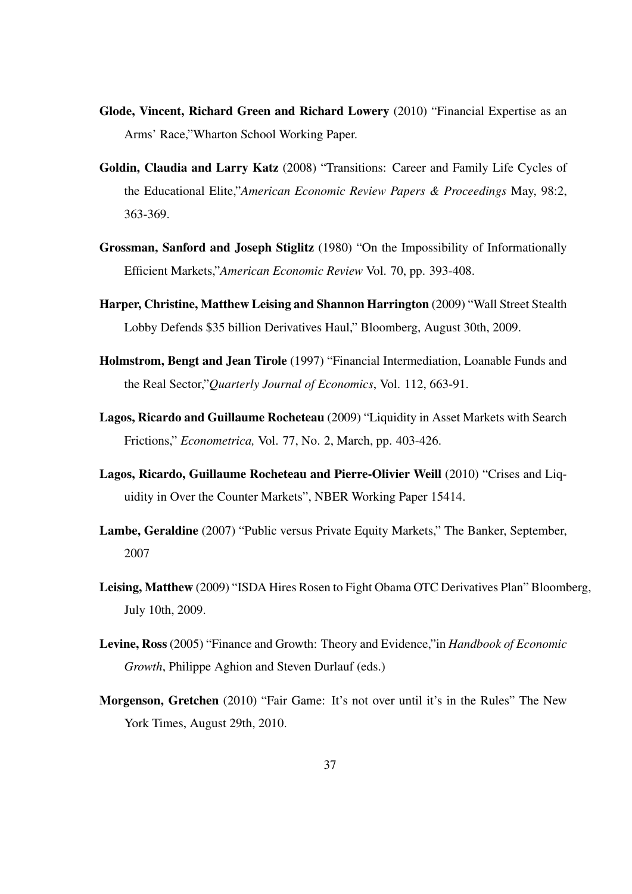- Glode, Vincent, Richard Green and Richard Lowery (2010) "Financial Expertise as an Arms' Race,"Wharton School Working Paper.
- Goldin, Claudia and Larry Katz (2008) "Transitions: Career and Family Life Cycles of the Educational Elite,"*American Economic Review Papers & Proceedings* May, 98:2, 363-369.
- Grossman, Sanford and Joseph Stiglitz (1980) "On the Impossibility of Informationally Efficient Markets,"*American Economic Review* Vol. 70, pp. 393-408.
- Harper, Christine, Matthew Leising and Shannon Harrington (2009) "Wall Street Stealth Lobby Defends \$35 billion Derivatives Haul," Bloomberg, August 30th, 2009.
- Holmstrom, Bengt and Jean Tirole (1997) "Financial Intermediation, Loanable Funds and the Real Sector,"*Quarterly Journal of Economics*, Vol. 112, 663-91.
- Lagos, Ricardo and Guillaume Rocheteau (2009) "Liquidity in Asset Markets with Search Frictions," *Econometrica,* Vol. 77, No. 2, March, pp. 403-426.
- Lagos, Ricardo, Guillaume Rocheteau and Pierre-Olivier Weill (2010) "Crises and Liquidity in Over the Counter Markets", NBER Working Paper 15414.
- Lambe, Geraldine (2007) "Public versus Private Equity Markets," The Banker, September, 2007
- Leising, Matthew (2009) "ISDA Hires Rosen to Fight Obama OTC Derivatives Plan" Bloomberg, July 10th, 2009.
- Levine, Ross (2005) "Finance and Growth: Theory and Evidence,"in *Handbook of Economic Growth*, Philippe Aghion and Steven Durlauf (eds.)
- Morgenson, Gretchen (2010) "Fair Game: It's not over until it's in the Rules" The New York Times, August 29th, 2010.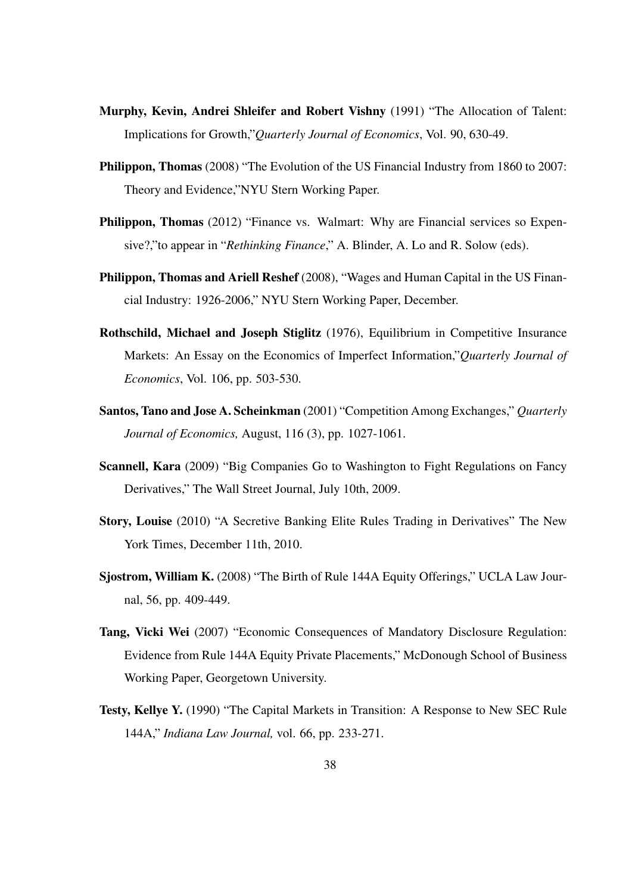- Murphy, Kevin, Andrei Shleifer and Robert Vishny (1991) "The Allocation of Talent: Implications for Growth,"*Quarterly Journal of Economics*, Vol. 90, 630-49.
- Philippon, Thomas (2008) "The Evolution of the US Financial Industry from 1860 to 2007: Theory and Evidence,"NYU Stern Working Paper.
- Philippon, Thomas (2012) "Finance vs. Walmart: Why are Financial services so Expensive?,"to appear in "*Rethinking Finance*," A. Blinder, A. Lo and R. Solow (eds).
- Philippon, Thomas and Ariell Reshef (2008), "Wages and Human Capital in the US Financial Industry: 1926-2006," NYU Stern Working Paper, December.
- Rothschild, Michael and Joseph Stiglitz (1976), Equilibrium in Competitive Insurance Markets: An Essay on the Economics of Imperfect Information,"*Quarterly Journal of Economics*, Vol. 106, pp. 503-530.
- Santos, Tano and Jose A. Scheinkman (2001) "Competition Among Exchanges," *Quarterly Journal of Economics,* August, 116 (3), pp. 1027-1061.
- Scannell, Kara (2009) "Big Companies Go to Washington to Fight Regulations on Fancy Derivatives," The Wall Street Journal, July 10th, 2009.
- Story, Louise (2010) "A Secretive Banking Elite Rules Trading in Derivatives" The New York Times, December 11th, 2010.
- Sjostrom, William K. (2008) "The Birth of Rule 144A Equity Offerings," UCLA Law Journal, 56, pp. 409-449.
- Tang, Vicki Wei (2007) "Economic Consequences of Mandatory Disclosure Regulation: Evidence from Rule 144A Equity Private Placements," McDonough School of Business Working Paper, Georgetown University.
- Testy, Kellye Y. (1990) "The Capital Markets in Transition: A Response to New SEC Rule 144A," *Indiana Law Journal,* vol. 66, pp. 233-271.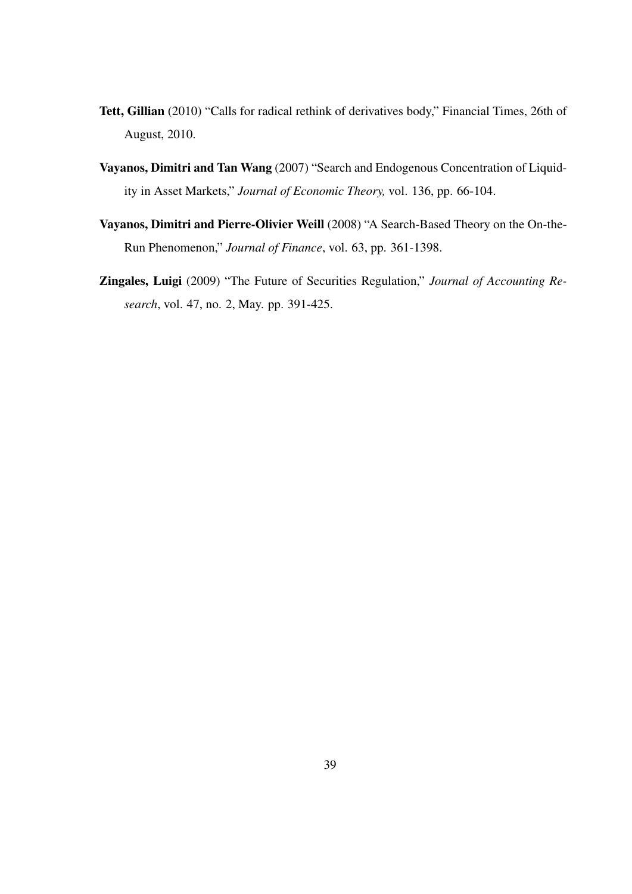- Tett, Gillian (2010) "Calls for radical rethink of derivatives body," Financial Times, 26th of August, 2010.
- Vayanos, Dimitri and Tan Wang (2007) "Search and Endogenous Concentration of Liquidity in Asset Markets," *Journal of Economic Theory,* vol. 136, pp. 66-104.
- Vayanos, Dimitri and Pierre-Olivier Weill (2008) "A Search-Based Theory on the On-the-Run Phenomenon," *Journal of Finance*, vol. 63, pp. 361-1398.
- Zingales, Luigi (2009) "The Future of Securities Regulation," *Journal of Accounting Research*, vol. 47, no. 2, May. pp. 391-425.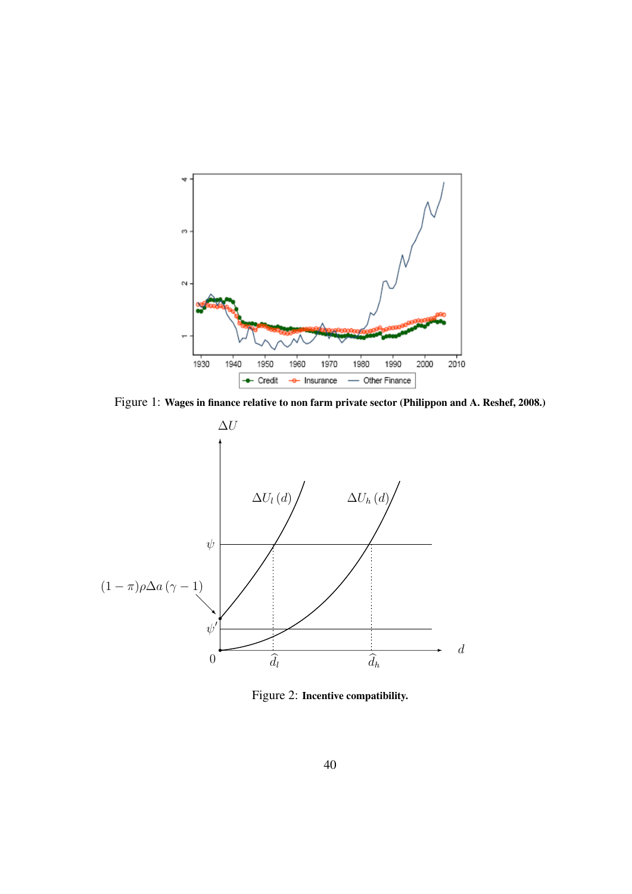

Figure 1: Wages in finance relative to non farm private sector (Philippon and A. Reshef, 2008.)



Figure 2: Incentive compatibility.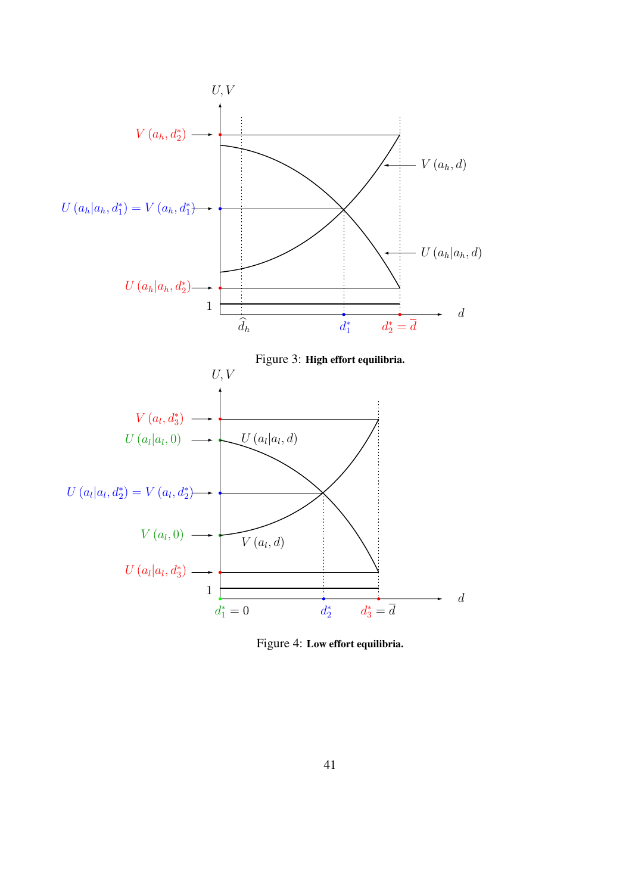

Figure 4: Low effort equilibria.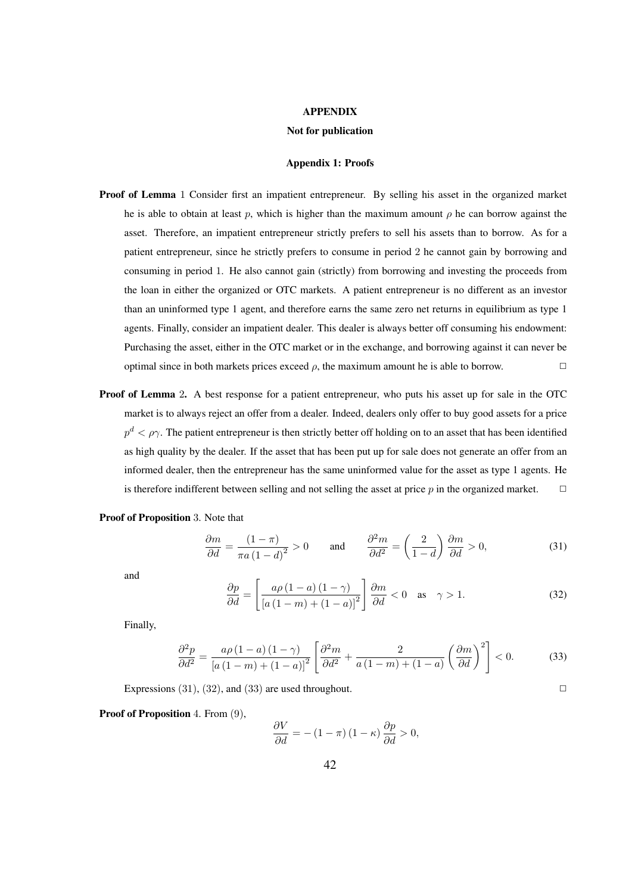### APPENDIX

#### Not for publication

#### Appendix 1: Proofs

- Proof of Lemma 1 Consider first an impatient entrepreneur. By selling his asset in the organized market he is able to obtain at least *p*, which is higher than the maximum amount  $\rho$  he can borrow against the asset. Therefore, an impatient entrepreneur strictly prefers to sell his assets than to borrow. As for a patient entrepreneur, since he strictly prefers to consume in period 2 he cannot gain by borrowing and consuming in period 1. He also cannot gain (strictly) from borrowing and investing the proceeds from the loan in either the organized or OTC markets. A patient entrepreneur is no different as an investor than an uninformed type 1 agent, and therefore earns the same zero net returns in equilibrium as type 1 agents. Finally, consider an impatient dealer. This dealer is always better off consuming his endowment: Purchasing the asset, either in the OTC market or in the exchange, and borrowing against it can never be optimal since in both markets prices exceed  $ρ$ , the maximum amount he is able to borrow.  $\Box$
- Proof of Lemma 2. A best response for a patient entrepreneur, who puts his asset up for sale in the OTC market is to always reject an offer from a dealer. Indeed, dealers only offer to buy good assets for a price  $p^d < \rho \gamma$ . The patient entrepreneur is then strictly better off holding on to an asset that has been identified as high quality by the dealer. If the asset that has been put up for sale does not generate an offer from an informed dealer, then the entrepreneur has the same uninformed value for the asset as type 1 agents. He is therefore indifferent between selling and not selling the asset at price  $p$  in the organized market.  $\Box$

#### Proof of Proposition 3. Note that

$$
\frac{\partial m}{\partial d} = \frac{(1 - \pi)}{\pi a (1 - d)^2} > 0 \quad \text{and} \quad \frac{\partial^2 m}{\partial d^2} = \left(\frac{2}{1 - d}\right) \frac{\partial m}{\partial d} > 0,\tag{31}
$$

and

$$
\frac{\partial p}{\partial d} = \left[ \frac{a\rho \left(1 - a\right) \left(1 - \gamma\right)}{\left[a\left(1 - m\right) + \left(1 - a\right)\right]^2} \right] \frac{\partial m}{\partial d} < 0 \quad \text{as} \quad \gamma > 1. \tag{32}
$$

Finally,

$$
\frac{\partial^2 p}{\partial d^2} = \frac{a\rho\left(1-a\right)\left(1-\gamma\right)}{\left[a\left(1-m\right) + \left(1-a\right)\right]^2} \left[\frac{\partial^2 m}{\partial d^2} + \frac{2}{a\left(1-m\right) + \left(1-a\right)} \left(\frac{\partial m}{\partial d}\right)^2\right] < 0. \tag{33}
$$

Expressions  $(31)$ ,  $(32)$ , and  $(33)$  are used throughout.  $\Box$ 

Proof of Proposition 4. From (9),

$$
\frac{\partial V}{\partial d} = -(1 - \pi) (1 - \kappa) \frac{\partial p}{\partial d} > 0,
$$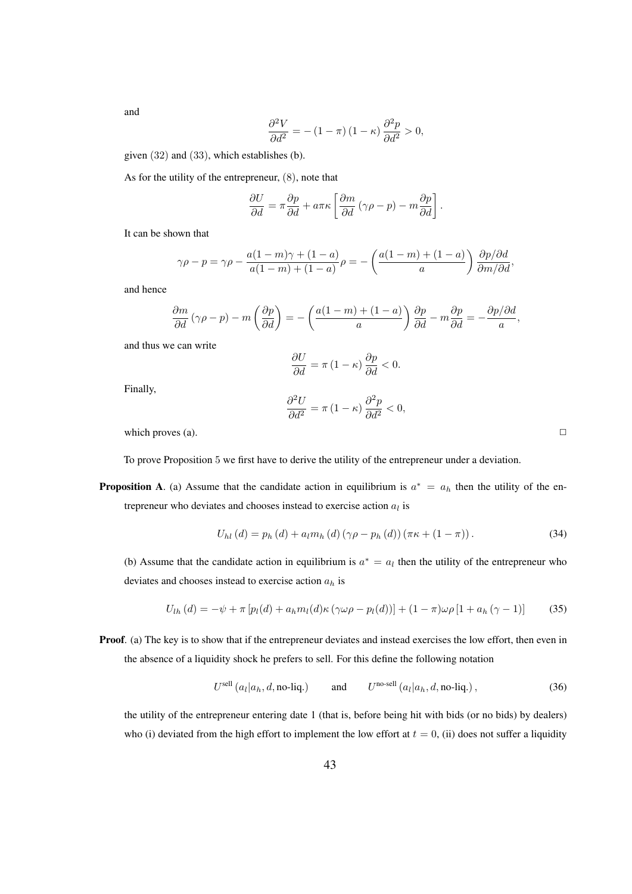$$
\frac{\partial^2 V}{\partial d^2} = -(1 - \pi) (1 - \kappa) \frac{\partial^2 p}{\partial d^2} > 0,
$$

given (32) and (33), which establishes (b).

As for the utility of the entrepreneur, (8), note that

$$
\frac{\partial U}{\partial d} = \pi \frac{\partial p}{\partial d} + a \pi \kappa \left[ \frac{\partial m}{\partial d} \left( \gamma \rho - p \right) - m \frac{\partial p}{\partial d} \right].
$$

It can be shown that

$$
\gamma \rho - p = \gamma \rho - \frac{a(1-m)\gamma + (1-a)}{a(1-m) + (1-a)}\rho = -\left(\frac{a(1-m) + (1-a)}{a}\right) \frac{\partial p/\partial d}{\partial m/\partial d},
$$

and hence

$$
\frac{\partial m}{\partial d} \left( \gamma \rho - p \right) - m \left( \frac{\partial p}{\partial d} \right) = - \left( \frac{a(1 - m) + (1 - a)}{a} \right) \frac{\partial p}{\partial d} - m \frac{\partial p}{\partial d} = - \frac{\partial p / \partial d}{a},
$$

and thus we can write

$$
\frac{\partial U}{\partial d} = \pi \left( 1 - \kappa \right) \frac{\partial p}{\partial d} < 0.
$$

Finally,

$$
\frac{\partial^2 U}{\partial d^2} = \pi (1 - \kappa) \frac{\partial^2 p}{\partial d^2} < 0,
$$

which proves (a).  $\Box$ 

To prove Proposition 5 we first have to derive the utility of the entrepreneur under a deviation.

**Proposition A.** (a) Assume that the candidate action in equilibrium is  $a^* = a_h$  then the utility of the entrepreneur who deviates and chooses instead to exercise action *a<sup>l</sup>* is

$$
U_{hl}(d) = p_h(d) + a_l m_h(d) (\gamma \rho - p_h(d)) (\pi \kappa + (1 - \pi)).
$$
\n(34)

(b) Assume that the candidate action in equilibrium is  $a^* = a_l$  then the utility of the entrepreneur who deviates and chooses instead to exercise action *a<sup>h</sup>* is

$$
U_{lh}(d) = -\psi + \pi \left[ p_l(d) + a_h m_l(d)\kappa \left( \gamma \omega \rho - p_l(d) \right) \right] + (1 - \pi) \omega \rho \left[ 1 + a_h(\gamma - 1) \right] \tag{35}
$$

Proof. (a) The key is to show that if the entrepreneur deviates and instead exercises the low effort, then even in the absence of a liquidity shock he prefers to sell. For this define the following notation

$$
U^{\text{sell}}\left(a_l|a_h,d,\text{no-liq.}\right) \qquad \text{and} \qquad U^{\text{no-sell}}\left(a_l|a_h,d,\text{no-liq.}\right),\tag{36}
$$

the utility of the entrepreneur entering date 1 (that is, before being hit with bids (or no bids) by dealers) who (i) deviated from the high effort to implement the low effort at  $t = 0$ , (ii) does not suffer a liquidity

and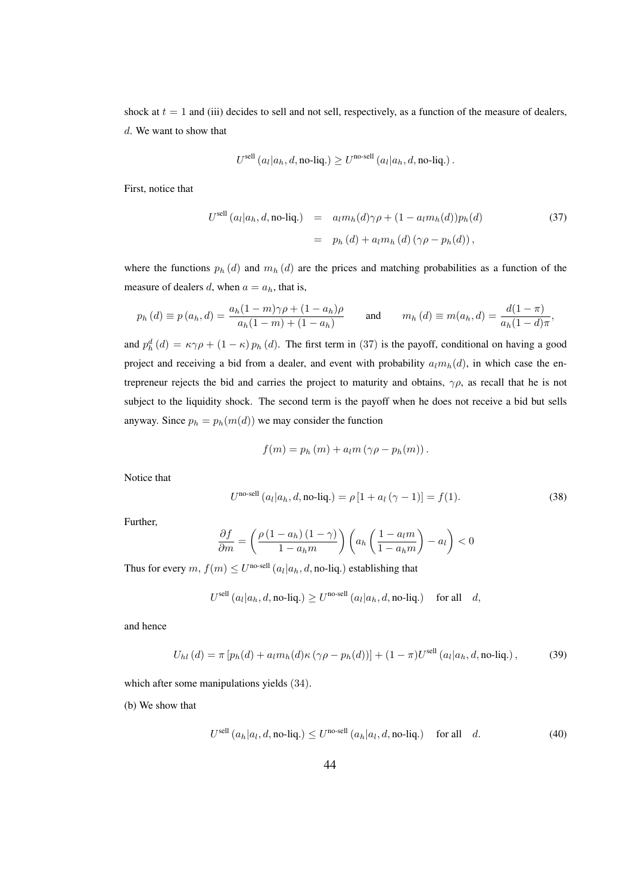shock at  $t = 1$  and (iii) decides to sell and not sell, respectively, as a function of the measure of dealers, *d*. We want to show that

$$
U^{\text{sell}}\left(a_l|a_h,d,\text{no-liq.}\right) \geq U^{\text{no-sell}}\left(a_l|a_h,d,\text{no-liq.}\right).
$$

First, notice that

$$
U^{\text{sell}}(a_l|a_h, d, \text{no-liq.}) = a_l m_h(d)\gamma \rho + (1 - a_l m_h(d))p_h(d)
$$
\n
$$
= p_h(d) + a_l m_h(d)(\gamma \rho - p_h(d)),
$$
\n(37)

where the functions  $p_h(d)$  and  $m_h(d)$  are the prices and matching probabilities as a function of the measure of dealers *d*, when  $a = a_h$ , that is,

$$
p_h(d) \equiv p(a_h, d) = \frac{a_h(1-m)\gamma \rho + (1-a_h)\rho}{a_h(1-m) + (1-a_h)} \quad \text{and} \quad m_h(d) \equiv m(a_h, d) = \frac{d(1-\pi)}{a_h(1-d)\pi},
$$

and  $p_h^d(d) = \kappa \gamma \rho + (1 - \kappa) p_h(d)$ . The first term in (37) is the payoff, conditional on having a good project and receiving a bid from a dealer, and event with probability  $a_l m_h(d)$ , in which case the entrepreneur rejects the bid and carries the project to maturity and obtains, *γρ*, as recall that he is not subject to the liquidity shock. The second term is the payoff when he does not receive a bid but sells anyway. Since  $p_h = p_h(m(d))$  we may consider the function

$$
f(m) = p_h(m) + a_l m \left(\gamma \rho - p_h(m)\right).
$$

Notice that

$$
U^{\text{no-sell}}(a_l|a_h, d, \text{no-liq.}) = \rho [1 + a_l (\gamma - 1)] = f(1). \tag{38}
$$

Further,

$$
\frac{\partial f}{\partial m} = \left(\frac{\rho\left(1 - a_h\right)\left(1 - \gamma\right)}{1 - a_h m}\right) \left(a_h \left(\frac{1 - a_l m}{1 - a_h m}\right) - a_l\right) < 0
$$

Thus for every  $m, f(m) \le U^{\text{no-sell}}(a_l|a_h, d, \text{no-liq.})$  establishing that

$$
U^{\text{sell}}\left(a_l|a_h, d, \text{no-liq.}\right) \ge U^{\text{no-sell}}\left(a_l|a_h, d, \text{no-liq.}\right) \quad \text{for all} \quad d,
$$

and hence

$$
U_{hl}(d) = \pi \left[ p_h(d) + a_l m_h(d) \kappa \left( \gamma \rho - p_h(d) \right) \right] + (1 - \pi) U^{\text{sell}} \left( a_l | a_h, d, \text{no-liq.} \right),\tag{39}
$$

which after some manipulations yields (34).

(b) We show that

$$
U^{\text{sell}}\left(a_h|a_l, d, \text{no-liq.}\right) \le U^{\text{no-sell}}\left(a_h|a_l, d, \text{no-liq.}\right) \quad \text{for all} \quad d. \tag{40}
$$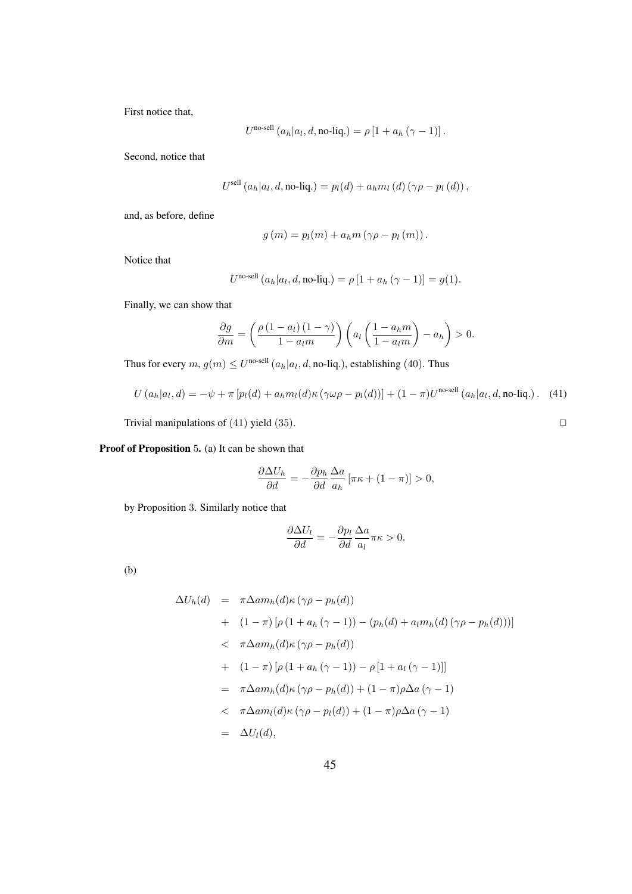First notice that,

$$
U^{\text{no-sell}}\left(a_h|a_l, d, \text{no-liq.}\right) = \rho \left[1 + a_h \left(\gamma - 1\right)\right].
$$

Second, notice that

$$
U^{\text{sell}}(a_h|a_l, d, \text{no-liq.}) = p_l(d) + a_h m_l(d) (\gamma \rho - p_l(d)),
$$

and, as before, define

$$
g(m) = p_l(m) + a_h m \left(\gamma \rho - p_l(m)\right).
$$

Notice that

$$
U^{\text{no-sell}}(a_h|a_l, d, \text{no-liq.}) = \rho [1 + a_h (\gamma - 1)] = g(1).
$$

Finally, we can show that

$$
\frac{\partial g}{\partial m} = \left(\frac{\rho\left(1-a_l\right)\left(1-\gamma\right)}{1-a_l m}\right) \left(a_l \left(\frac{1-a_h m}{1-a_l m}\right) - a_h\right) > 0.
$$

Thus for every  $m, g(m) \le U^{\text{no-sell}} (a_h|a_l, d, \text{no-liq.})$ , establishing (40). Thus

$$
U(a_h|a_l, d) = -\psi + \pi \left[ p_l(d) + a_h m_l(d) \kappa (\gamma \omega \rho - p_l(d)) \right] + (1 - \pi) U^{\text{no-sell}}(a_h|a_l, d, \text{no-liq.}). \tag{41}
$$

Trivial manipulations of  $(41)$  yield  $(35)$ .

Proof of Proposition 5. (a) It can be shown that

$$
\frac{\partial \Delta U_h}{\partial d} = -\frac{\partial p_h}{\partial d} \frac{\Delta a}{a_h} \left[ \pi \kappa + (1 - \pi) \right] > 0,
$$

by Proposition 3. Similarly notice that

$$
\frac{\partial \Delta U_l}{\partial d} = -\frac{\partial p_l}{\partial d} \frac{\Delta a}{a_l} \pi \kappa > 0.
$$

(b)

$$
\Delta U_h(d) = \pi \Delta a m_h(d) \kappa (\gamma \rho - p_h(d))
$$
  
+ 
$$
(1 - \pi) [\rho (1 + a_h (\gamma - 1)) - (p_h(d) + a_l m_h(d) (\gamma \rho - p_h(d)))]
$$
  

$$
< \pi \Delta a m_h(d) \kappa (\gamma \rho - p_h(d))
$$
  
+ 
$$
(1 - \pi) [\rho (1 + a_h (\gamma - 1)) - \rho [1 + a_l (\gamma - 1)]]
$$
  
= 
$$
\pi \Delta a m_h(d) \kappa (\gamma \rho - p_h(d)) + (1 - \pi) \rho \Delta a (\gamma - 1)
$$
  

$$
< \pi \Delta a m_l(d) \kappa (\gamma \rho - p_l(d)) + (1 - \pi) \rho \Delta a (\gamma - 1)
$$
  
= 
$$
\Delta U_l(d),
$$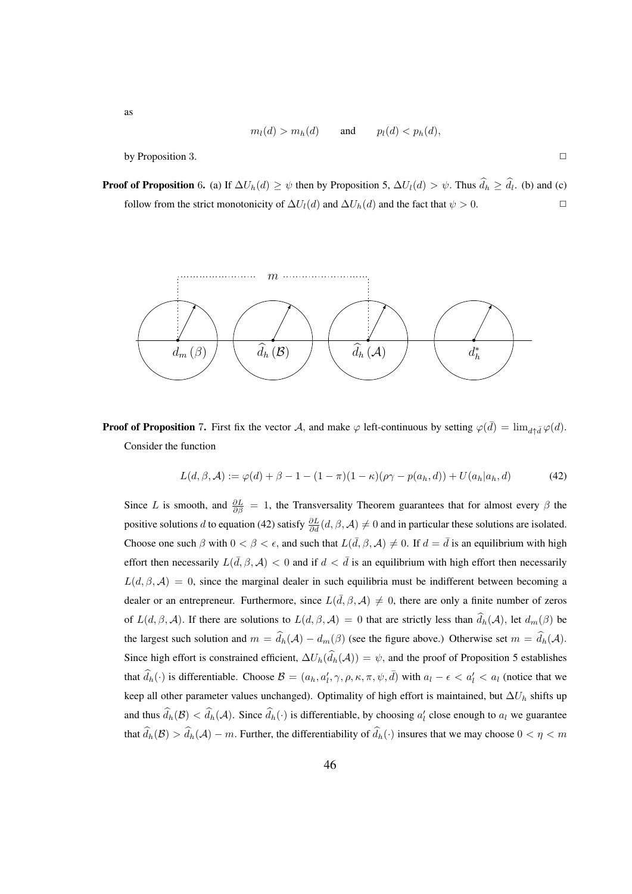$$
m_l(d) > m_h(d)
$$
 and  $p_l(d) < p_h(d)$ ,

by Proposition 3.  $\Box$ 

**Proof of Proposition** 6. (a) If  $\Delta U_h(d) \geq \psi$  then by Proposition 5,  $\Delta U_l(d) > \psi$ . Thus  $d_h \geq d_l$ . (b) and (c) follow from the strict monotonicity of  $\Delta U_l(d)$  and  $\Delta U_h(d)$  and the fact that  $\psi > 0$ .  $\Box$ 



**Proof of Proposition** 7. First fix the vector *A*, and make  $\varphi$  left-continuous by setting  $\varphi(\bar{d}) = \lim_{d \uparrow \bar{d}} \varphi(d)$ . Consider the function

$$
L(d, \beta, \mathcal{A}) := \varphi(d) + \beta - 1 - (1 - \pi)(1 - \kappa)(\rho \gamma - p(a_h, d)) + U(a_h|a_h, d)
$$
(42)

Since *L* is smooth, and  $\frac{\partial L}{\partial \beta} = 1$ , the Transversality Theorem guarantees that for almost every  $\beta$  the positive solutions *d* to equation (42) satisfy  $\frac{\partial L}{\partial d}(d, \beta, \mathcal{A}) \neq 0$  and in particular these solutions are isolated. Choose one such  $\beta$  with  $0 < \beta < \epsilon$ , and such that  $L(\bar{d}, \beta, A) \neq 0$ . If  $d = \bar{d}$  is an equilibrium with high effort then necessarily  $L(\bar{d}, \beta, \mathcal{A}) < 0$  and if  $d < \bar{d}$  is an equilibrium with high effort then necessarily  $L(d, \beta, \mathcal{A}) = 0$ , since the marginal dealer in such equilibria must be indifferent between becoming a dealer or an entrepreneur. Furthermore, since  $L(\bar{d}, \beta, \mathcal{A}) \neq 0$ , there are only a finite number of zeros of  $L(d, \beta, \mathcal{A})$ . If there are solutions to  $L(d, \beta, \mathcal{A}) = 0$  that are strictly less than  $\hat{d}_h(\mathcal{A})$ , let  $d_m(\beta)$  be the largest such solution and  $m = \hat{d}_h(\mathcal{A}) - d_m(\beta)$  (see the figure above.) Otherwise set  $m = \hat{d}_h(\mathcal{A})$ . Since high effort is constrained efficient,  $\Delta U_h(\hat{d}_h(\mathcal{A})) = \psi$ , and the proof of Proposition 5 establishes that  $\hat{d}_h(\cdot)$  is differentiable. Choose  $\mathcal{B} = (a_h, a'_l, \gamma, \rho, \kappa, \pi, \psi, \bar{d})$  with  $a_l - \epsilon < a'_l < a_l$  (notice that we keep all other parameter values unchanged). Optimality of high effort is maintained, but ∆*U<sup>h</sup>* shifts up and thus  $d_h(\mathcal{B}) < d_h(\mathcal{A})$ . Since  $d_h(\cdot)$  is differentiable, by choosing  $a'_l$  close enough to  $a_l$  we guarantee that  $\hat{d}_h(\mathcal{B}) > \hat{d}_h(\mathcal{A}) - m$ . Further, the differentiability of  $\hat{d}_h(\cdot)$  insures that we may choose  $0 < \eta < m$ 

as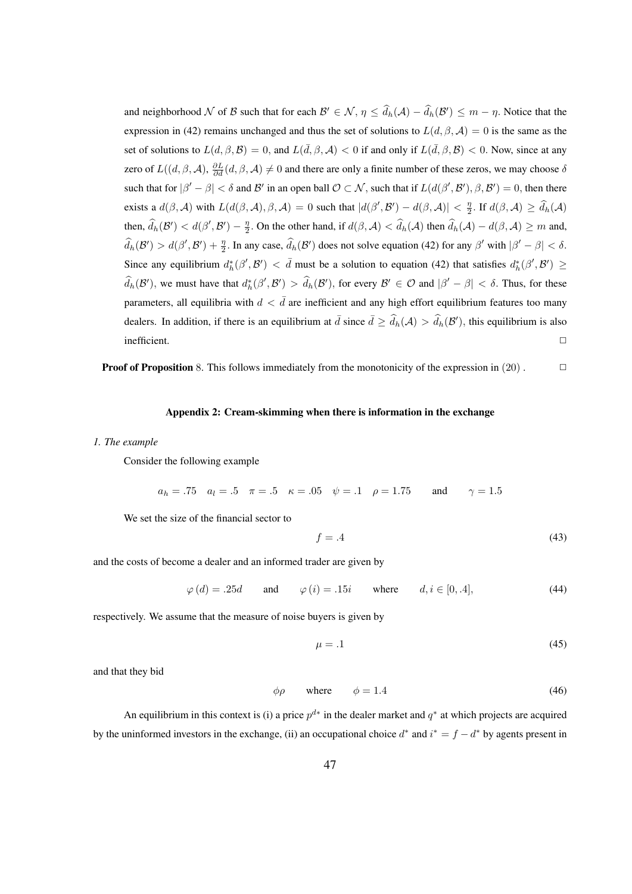and neighborhood N of B such that for each  $\mathcal{B}' \in \mathcal{N}$ ,  $\eta \leq d_h(\mathcal{A}) - d_h(\mathcal{B}') \leq m - \eta$ . Notice that the expression in (42) remains unchanged and thus the set of solutions to  $L(d, \beta, \mathcal{A}) = 0$  is the same as the set of solutions to  $L(d, \beta, \mathcal{B}) = 0$ , and  $L(\bar{d}, \beta, \mathcal{A}) < 0$  if and only if  $L(\bar{d}, \beta, \mathcal{B}) < 0$ . Now, since at any zero of  $L((d, \beta, \mathcal{A}), \frac{\partial L}{\partial d}(d, \beta, \mathcal{A}) \neq 0$  and there are only a finite number of these zeros, we may choose  $\delta$ such that for  $|\beta'-\beta| < \delta$  and B' in an open ball  $\mathcal{O} \subset \mathcal{N}$ , such that if  $L(d(\beta', \mathcal{B}'), \beta, \mathcal{B}') = 0$ , then there exists a  $d(\beta, \mathcal{A})$  with  $L(d(\beta, \mathcal{A}), \beta, \mathcal{A}) = 0$  such that  $|d(\beta', \mathcal{B}') - d(\beta, \mathcal{A})| < \frac{\eta}{2}$ . If  $d(\beta, \mathcal{A}) \geq \hat{d}_h(\mathcal{A})$ then,  $\widehat{d}_h(\mathcal{B}') < d(\beta', \mathcal{B}') - \frac{\eta}{2}$ . On the other hand, if  $d(\beta, \mathcal{A}) < \widehat{d}_h(\mathcal{A})$  then  $\widehat{d}_h(\mathcal{A}) - d(\beta, \mathcal{A}) \ge m$  and,  $\widehat{d}_h(\mathcal{B}') > d(\beta', \mathcal{B}') + \frac{\eta}{2}$ . In any case,  $\widehat{d}_h(\mathcal{B}')$  does not solve equation (42) for any  $\beta'$  with  $|\beta' - \beta| < \delta$ . Since any equilibrium  $d_h^*(\beta', \mathcal{B}') < \bar{d}$  must be a solution to equation (42) that satisfies  $d_h^*(\beta', \mathcal{B}') \ge$  $d_h(\mathcal{B}')$ , we must have that  $d_h^*(\beta', \mathcal{B}') > d_h(\mathcal{B}')$ , for every  $\mathcal{B}' \in \mathcal{O}$  and  $|\beta' - \beta| < \delta$ . Thus, for these parameters, all equilibria with  $d < \bar{d}$  are inefficient and any high effort equilibrium features too many dealers. In addition, if there is an equilibrium at  $\bar{d}$  since  $\bar{d} \geq \hat{d}_h(A) > \hat{d}_h(B')$ , this equilibrium is also inefficient. *✷*

**Proof of Proposition** 8. This follows immediately from the monotonicity of the expression in (20).  $\Box$ 

#### Appendix 2: Cream-skimming when there is information in the exchange

#### *1. The example*

Consider the following example

$$
a_h = .75
$$
  $a_l = .5$   $\pi = .5$   $\kappa = .05$   $\psi = .1$   $\rho = 1.75$  and  $\gamma = 1.5$ 

We set the size of the financial sector to

$$
f = .4 \tag{43}
$$

and the costs of become a dealer and an informed trader are given by

$$
\varphi(d) = .25d \qquad \text{and} \qquad \varphi(i) = .15i \qquad \text{where} \qquad d, i \in [0, .4], \tag{44}
$$

respectively. We assume that the measure of noise buyers is given by

$$
\mu = .1 \tag{45}
$$

and that they bid

$$
\phi \rho \qquad \text{where} \qquad \phi = 1.4 \tag{46}
$$

An equilibrium in this context is (i) a price  $p^{d*}$  in the dealer market and  $q^*$  at which projects are acquired by the uninformed investors in the exchange, (ii) an occupational choice  $d^*$  and  $i^* = f - d^*$  by agents present in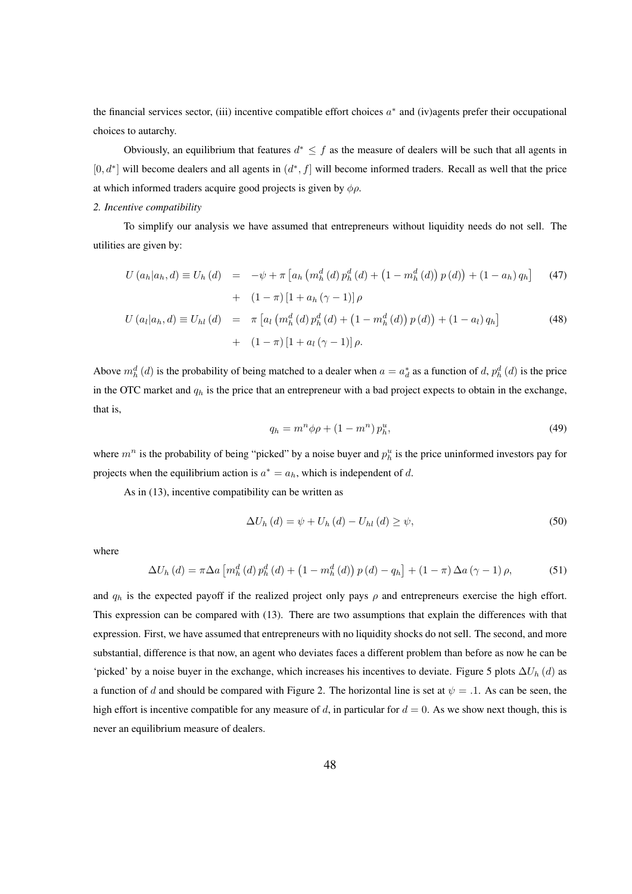the financial services sector, (iii) incentive compatible effort choices *a ∗* and (iv)agents prefer their occupational choices to autarchy.

Obviously, an equilibrium that features  $d^* \leq f$  as the measure of dealers will be such that all agents in [0*, d<sup>∗</sup>* ] will become dealers and all agents in (*d ∗ , f*] will become informed traders. Recall as well that the price at which informed traders acquire good projects is given by *ϕρ*.

#### *2. Incentive compatibility*

To simplify our analysis we have assumed that entrepreneurs without liquidity needs do not sell. The utilities are given by:

$$
U(a_h|a_h, d) \equiv U_h(d) = -\psi + \pi \left[ a_h \left( m_h^d(d) p_h^d(d) + \left( 1 - m_h^d(d) \right) p(d) \right) + (1 - a_h) q_h \right] \tag{47}
$$
  
+ 
$$
(1 - \pi) \left[ 1 + a_h (\gamma - 1) \right] \rho
$$

$$
U(a_l|a_h, d) \equiv U_{hl}(d) = \pi \left[ a_l \left( m_h^d(d) p_h^d(d) + (1 - m_h^d(d)) p(d) \right) + (1 - a_l) q_h \right] + (1 - \pi) \left[ 1 + a_l (\gamma - 1) \right] \rho.
$$
 (48)

Above  $m_h^d(d)$  is the probability of being matched to a dealer when  $a = a_d^*$  as a function of  $d$ ,  $p_h^d(d)$  is the price in the OTC market and *q<sup>h</sup>* is the price that an entrepreneur with a bad project expects to obtain in the exchange, that is,

$$
q_h = m^n \phi \rho + (1 - m^n) p_h^u,\tag{49}
$$

where  $m^n$  is the probability of being "picked" by a noise buyer and  $p_h^n$  is the price uninformed investors pay for projects when the equilibrium action is  $a^* = a_h$ , which is independent of *d*.

As in (13), incentive compatibility can be written as

$$
\Delta U_h\left(d\right) = \psi + U_h\left(d\right) - U_{hl}\left(d\right) \ge \psi,\tag{50}
$$

where

$$
\Delta U_h\left(d\right) = \pi \Delta a \left[m_h^d\left(d\right) p_h^d\left(d\right) + \left(1 - m_h^d\left(d\right)\right) p\left(d\right) - q_h\right] + \left(1 - \pi\right) \Delta a \left(\gamma - 1\right) \rho,\tag{51}
$$

and  $q_h$  is the expected payoff if the realized project only pays  $\rho$  and entrepreneurs exercise the high effort. This expression can be compared with (13). There are two assumptions that explain the differences with that expression. First, we have assumed that entrepreneurs with no liquidity shocks do not sell. The second, and more substantial, difference is that now, an agent who deviates faces a different problem than before as now he can be 'picked' by a noise buyer in the exchange, which increases his incentives to deviate. Figure 5 plots ∆*U<sup>h</sup>* (*d*) as a function of *d* and should be compared with Figure 2. The horizontal line is set at  $\psi = .1$ . As can be seen, the high effort is incentive compatible for any measure of *d*, in particular for  $d = 0$ . As we show next though, this is never an equilibrium measure of dealers.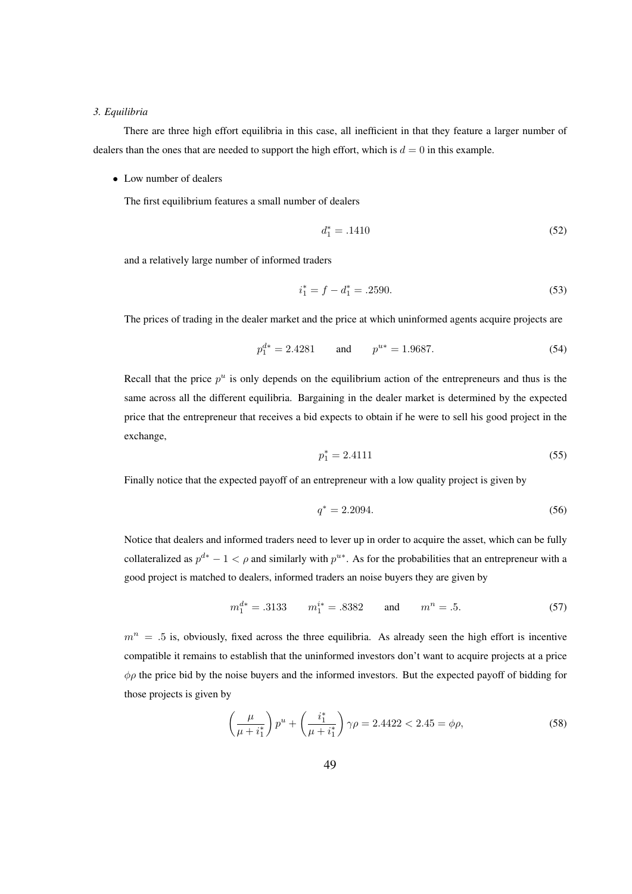### *3. Equilibria*

There are three high effort equilibria in this case, all inefficient in that they feature a larger number of dealers than the ones that are needed to support the high effort, which is  $d = 0$  in this example.

*•* Low number of dealers

The first equilibrium features a small number of dealers

$$
d_1^* = .1410 \tag{52}
$$

and a relatively large number of informed traders

$$
i_1^* = f - d_1^* = .2590.
$$
\n<sup>(53)</sup>

The prices of trading in the dealer market and the price at which uninformed agents acquire projects are

$$
p_1^{d*} = 2.4281 \qquad \text{and} \qquad p^{u*} = 1.9687. \tag{54}
$$

Recall that the price  $p^u$  is only depends on the equilibrium action of the entrepreneurs and thus is the same across all the different equilibria. Bargaining in the dealer market is determined by the expected price that the entrepreneur that receives a bid expects to obtain if he were to sell his good project in the exchange,

$$
p_1^* = 2.4111 \tag{55}
$$

Finally notice that the expected payoff of an entrepreneur with a low quality project is given by

$$
q^* = 2.2094.\t(56)
$$

Notice that dealers and informed traders need to lever up in order to acquire the asset, which can be fully collateralized as  $p^{d*} - 1 < \rho$  and similarly with  $p^{u*}$ . As for the probabilities that an entrepreneur with a good project is matched to dealers, informed traders an noise buyers they are given by

$$
m_1^{d*} = .3133
$$
  $m_1^{i*} = .8382$  and  $m^n = .5.$  (57)

 $m<sup>n</sup> = 0.5$  is, obviously, fixed across the three equilibria. As already seen the high effort is incentive compatible it remains to establish that the uninformed investors don't want to acquire projects at a price *ϕρ* the price bid by the noise buyers and the informed investors. But the expected payoff of bidding for those projects is given by

$$
\left(\frac{\mu}{\mu + i_1^*}\right) p^u + \left(\frac{i_1^*}{\mu + i_1^*}\right) \gamma \rho = 2.4422 < 2.45 = \phi \rho,
$$
\n(58)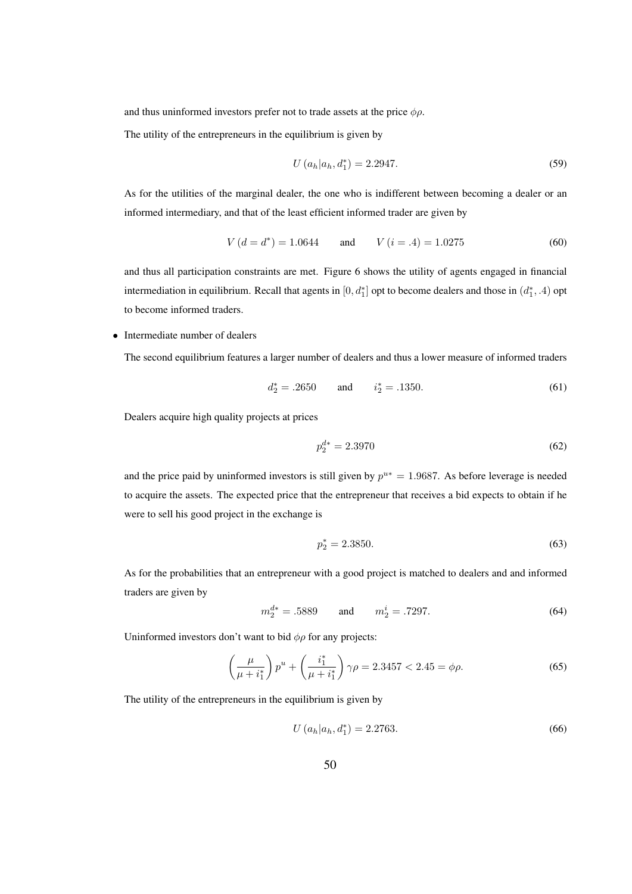and thus uninformed investors prefer not to trade assets at the price  $\phi \rho$ .

The utility of the entrepreneurs in the equilibrium is given by

$$
U\left(a_h|a_h, d_1^*\right) = 2.2947.\t(59)
$$

As for the utilities of the marginal dealer, the one who is indifferent between becoming a dealer or an informed intermediary, and that of the least efficient informed trader are given by

$$
V(d = d^*) = 1.0644 \qquad \text{and} \qquad V(i = .4) = 1.0275 \tag{60}
$$

and thus all participation constraints are met. Figure 6 shows the utility of agents engaged in financial intermediation in equilibrium. Recall that agents in  $[0, d_1^*]$  opt to become dealers and those in  $(d_1^*, .4)$  opt to become informed traders.

*•* Intermediate number of dealers

The second equilibrium features a larger number of dealers and thus a lower measure of informed traders

$$
d_2^* = .2650 \qquad \text{and} \qquad i_2^* = .1350. \tag{61}
$$

Dealers acquire high quality projects at prices

$$
p_2^{d*} = 2.3970\tag{62}
$$

and the price paid by uninformed investors is still given by  $p^{u*} = 1.9687$ . As before leverage is needed to acquire the assets. The expected price that the entrepreneur that receives a bid expects to obtain if he were to sell his good project in the exchange is

$$
p_2^* = 2.3850.\t(63)
$$

As for the probabilities that an entrepreneur with a good project is matched to dealers and and informed traders are given by

$$
m_2^{d*} = .5889 \qquad \text{and} \qquad m_2^i = .7297. \tag{64}
$$

Uninformed investors don't want to bid *ϕρ* for any projects:

$$
\left(\frac{\mu}{\mu + i_1^*}\right) p^u + \left(\frac{i_1^*}{\mu + i_1^*}\right) \gamma \rho = 2.3457 < 2.45 = \phi \rho. \tag{65}
$$

The utility of the entrepreneurs in the equilibrium is given by

$$
U\left(a_h|a_h, d_1^*\right) = 2.2763.\t(66)
$$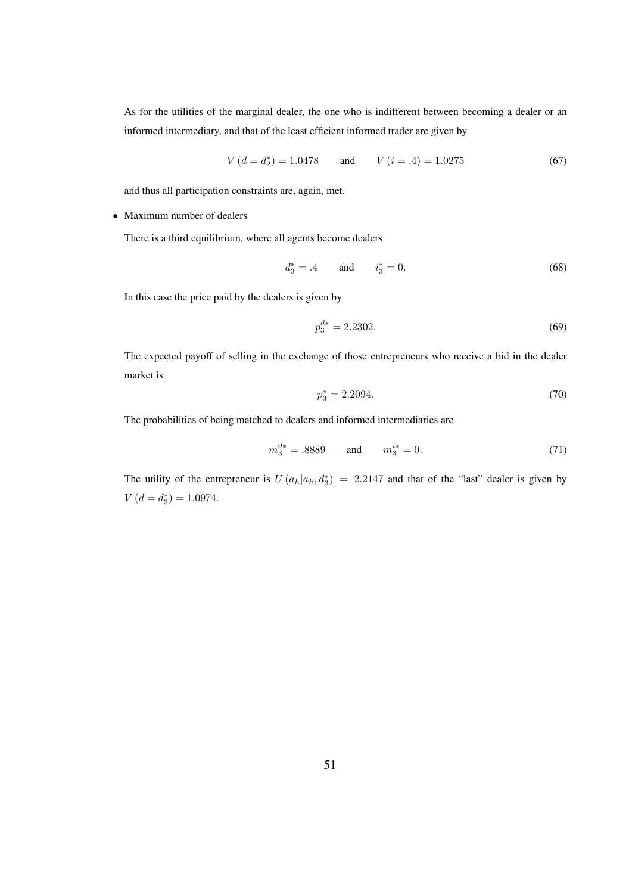As for the utilities of the marginal dealer, the one who is indifferent between becoming a dealer or an informed intermediary, and that of the least efficient informed trader are given by

$$
V(d = d_2^*) = 1.0478
$$
 and  $V(i = .4) = 1.0275$  (67)

and thus all participation constraints are, again, met.

*•* Maximum number of dealers

There is a third equilibrium, where all agents become dealers

$$
d_3^* = .4 \qquad \text{and} \qquad i_3^* = 0. \tag{68}
$$

In this case the price paid by the dealers is given by

$$
p_3^{d*} = 2.2302.\t\t(69)
$$

The expected payoff of selling in the exchange of those entrepreneurs who receive a bid in the dealer market is

$$
p_3^* = 2.2094.\t(70)
$$

The probabilities of being matched to dealers and informed intermediaries are

$$
m_3^{d*} = .8889 \qquad \text{and} \qquad m_3^{i*} = 0. \tag{71}
$$

The utility of the entrepreneur is  $U(a_h|a_h, d_3^*)$  = 2.2147 and that of the "last" dealer is given by  $V(d = d_3^*) = 1.0974.$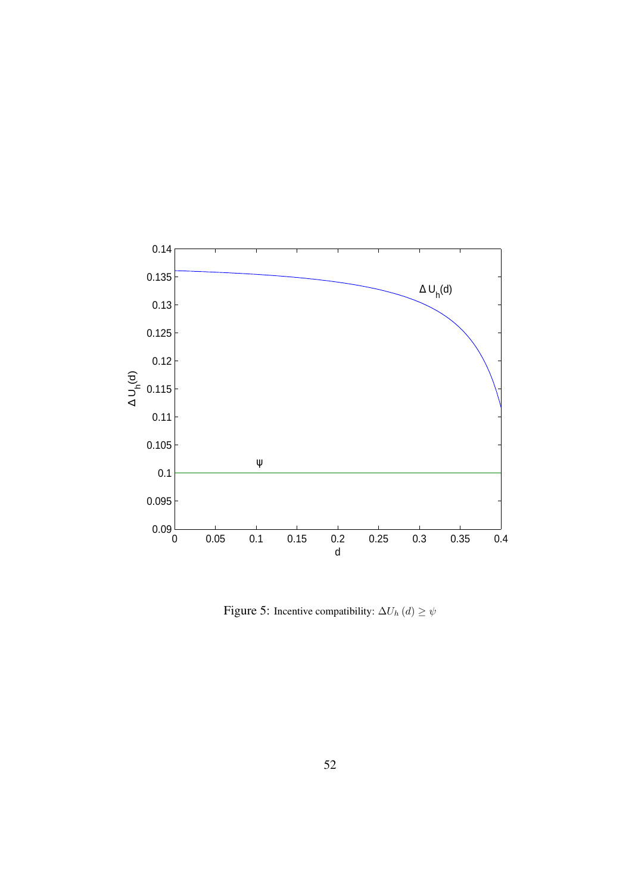

Figure 5: Incentive compatibility:  $\Delta U_h(d) \geq \psi$